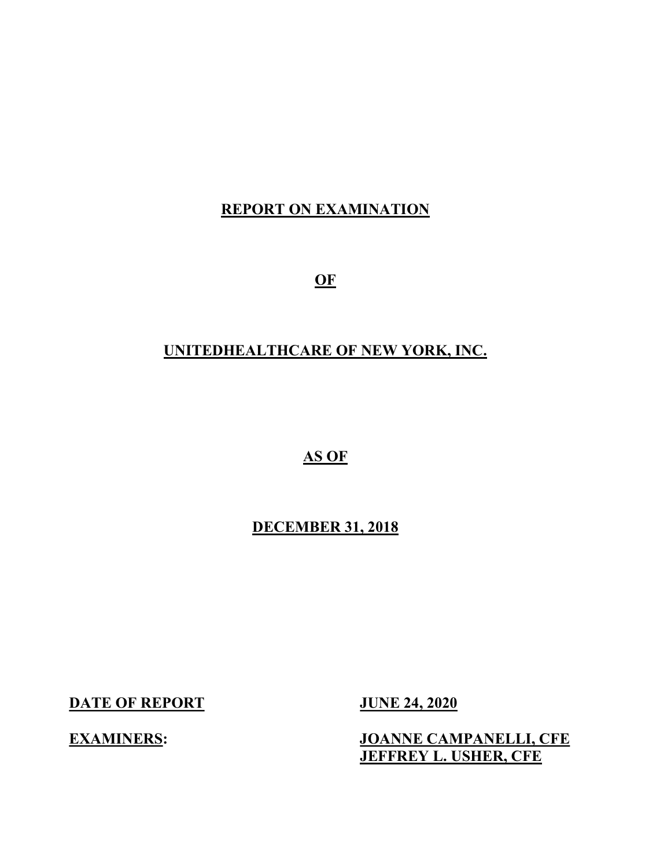## REPORT ON EXAMINATION

**OF** 

## UNITEDHEALTHCARE OF NEW YORK, INC.

## AS OF

## DECEMBER 31, 2018

DATE OF REPORT JUNE 24, 2020

## EXAMINERS: JOANNE CAMPANELLI, CFE JEFFREY L. USHER, CFE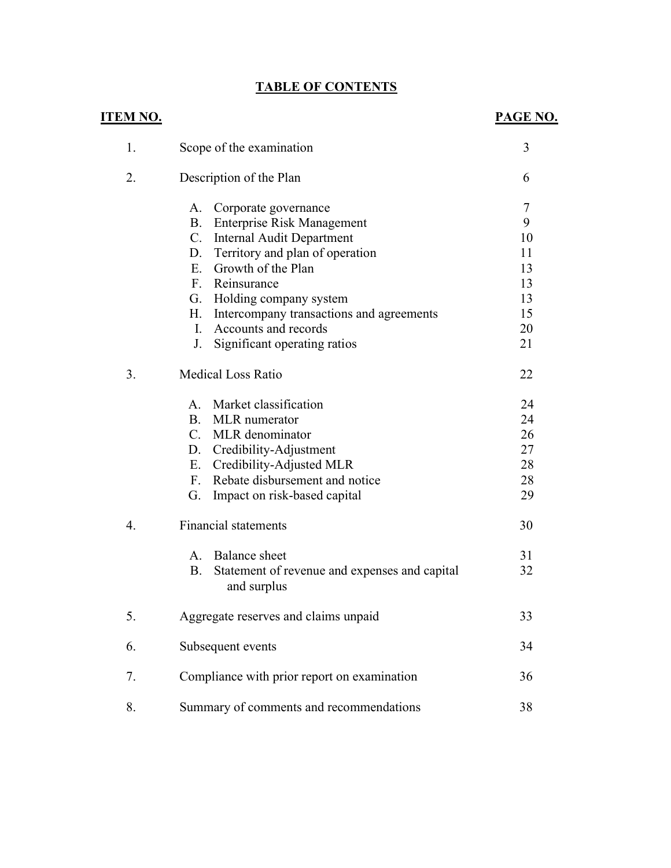## TABLE OF CONTENTS

| <u>ITEM NO.</u> |                                                                           | PAGE NO. |
|-----------------|---------------------------------------------------------------------------|----------|
| 1.              | Scope of the examination                                                  | 3        |
| 2.              | Description of the Plan                                                   | 6        |
|                 | A.<br>Corporate governance                                                | 7        |
|                 | B. Enterprise Risk Management                                             | 9        |
|                 | C. Internal Audit Department                                              | 10       |
|                 | Territory and plan of operation<br>D.                                     | 11       |
|                 | E. Growth of the Plan                                                     | 13       |
|                 | F. Reinsurance                                                            | 13       |
|                 | G. Holding company system                                                 | 13       |
|                 | Intercompany transactions and agreements<br>Н.                            | 15       |
|                 | Accounts and records<br>L.                                                | 20       |
|                 | Significant operating ratios<br>J.                                        | 21       |
| 3.              | <b>Medical Loss Ratio</b>                                                 | 22       |
|                 | A. Market classification                                                  | 24       |
|                 | <b>B.</b><br><b>MLR</b> numerator                                         | 24       |
|                 | C. MLR denominator                                                        | 26       |
|                 | D. Credibility-Adjustment                                                 | 27       |
|                 | Credibility-Adjusted MLR<br>E.                                            | 28       |
|                 | Rebate disbursement and notice<br>$F_{\cdot}$                             | 28       |
|                 | Impact on risk-based capital<br>G.                                        | 29       |
| 4.              | <b>Financial statements</b>                                               | 30       |
|                 | A. Balance sheet                                                          | 31       |
|                 | <b>B.</b><br>Statement of revenue and expenses and capital<br>and surplus | 32       |
| 5.              | Aggregate reserves and claims unpaid                                      | 33       |
| 6.              | Subsequent events                                                         | 34       |
| 7.              | Compliance with prior report on examination                               | 36       |
| 8.              | Summary of comments and recommendations                                   | 38       |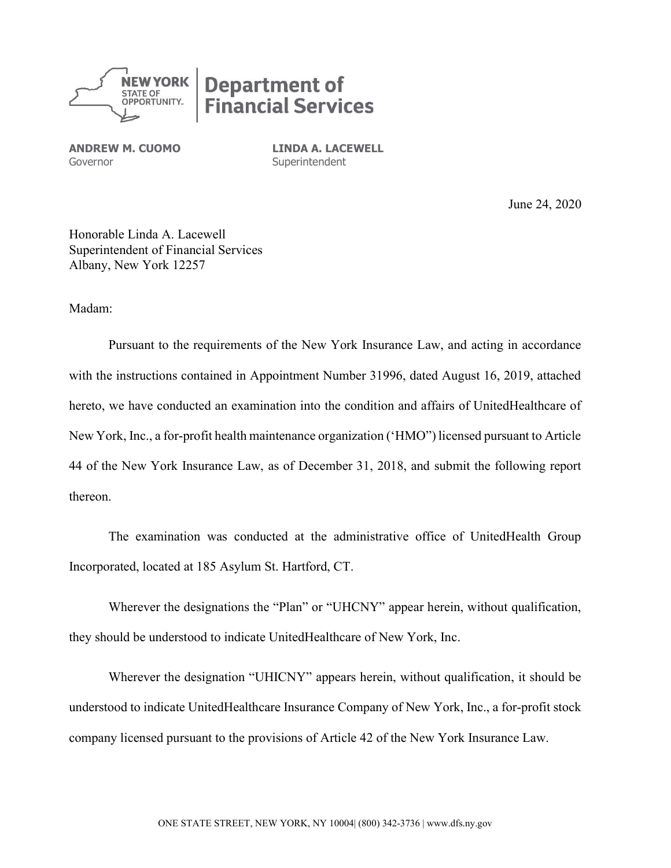

ANDREW M. CUOMO Governor

LINDA A. LACEWELL **Superintendent** 

June 24, 2020

Honorable Linda A. Lacewell Superintendent of Financial Services Albany, New York 12257

Madam:

Pursuant to the requirements of the New York Insurance Law, and acting in accordance with the instructions contained in Appointment Number 31996, dated August 16, 2019, attached hereto, we have conducted an examination into the condition and affairs of UnitedHealthcare of New York, Inc., a for-profit health maintenance organization ('HMO") licensed pursuant to Article 44 of the New York Insurance Law, as of December 31, 2018, and submit the following report thereon.

The examination was conducted at the administrative office of UnitedHealth Group Incorporated, located at 185 Asylum St. Hartford, CT.

Wherever the designations the "Plan" or "UHCNY" appear herein, without qualification, they should be understood to indicate UnitedHealthcare of New York, Inc.

Wherever the designation "UHICNY" appears herein, without qualification, it should be understood to indicate UnitedHealthcare Insurance Company of New York, Inc., a for-profit stock company licensed pursuant to the provisions of Article 42 of the New York Insurance Law.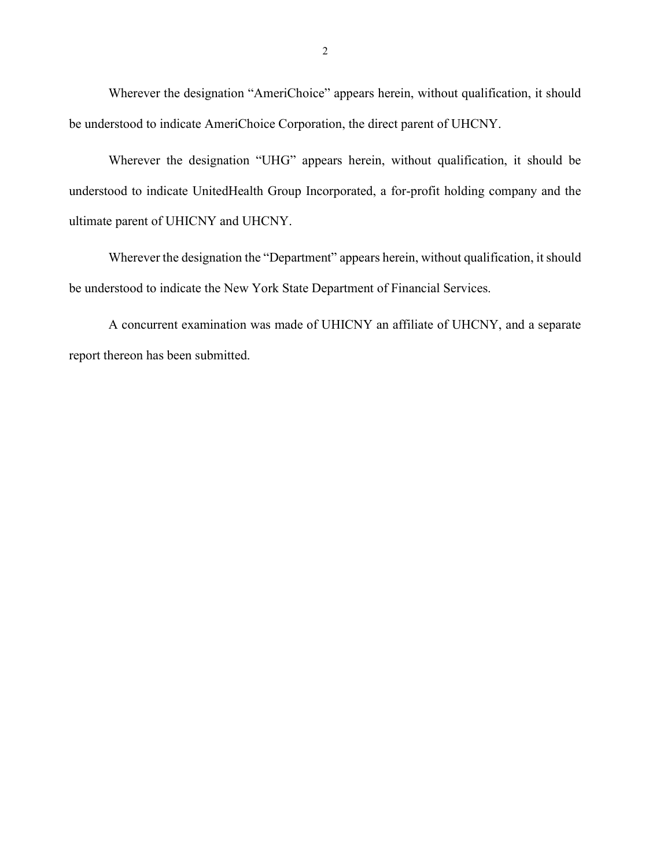Wherever the designation "AmeriChoice" appears herein, without qualification, it should be understood to indicate AmeriChoice Corporation, the direct parent of UHCNY.

Wherever the designation "UHG" appears herein, without qualification, it should be understood to indicate UnitedHealth Group Incorporated, a for-profit holding company and the ultimate parent of UHICNY and UHCNY.

Wherever the designation the "Department" appears herein, without qualification, it should be understood to indicate the New York State Department of Financial Services.

A concurrent examination was made of UHICNY an affiliate of UHCNY, and a separate report thereon has been submitted.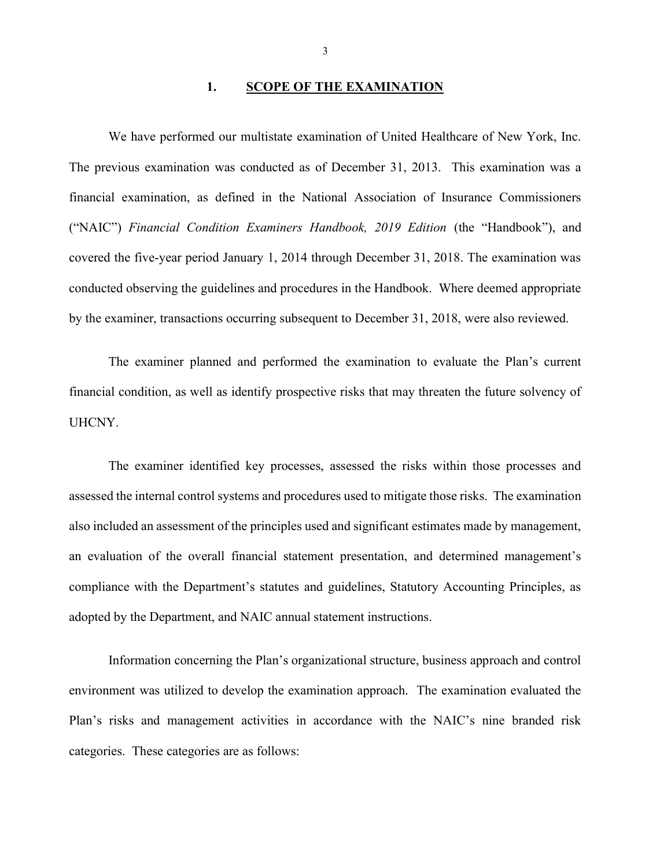#### 1. SCOPE OF THE EXAMINATION

We have performed our multistate examination of United Healthcare of New York, Inc. The previous examination was conducted as of December 31, 2013. This examination was a financial examination, as defined in the National Association of Insurance Commissioners ("NAIC") Financial Condition Examiners Handbook, 2019 Edition (the "Handbook"), and covered the five-year period January 1, 2014 through December 31, 2018. The examination was conducted observing the guidelines and procedures in the Handbook. Where deemed appropriate by the examiner, transactions occurring subsequent to December 31, 2018, were also reviewed.

The examiner planned and performed the examination to evaluate the Plan's current financial condition, as well as identify prospective risks that may threaten the future solvency of UHCNY.

The examiner identified key processes, assessed the risks within those processes and assessed the internal control systems and procedures used to mitigate those risks. The examination also included an assessment of the principles used and significant estimates made by management, an evaluation of the overall financial statement presentation, and determined management's compliance with the Department's statutes and guidelines, Statutory Accounting Principles, as adopted by the Department, and NAIC annual statement instructions.

Information concerning the Plan's organizational structure, business approach and control environment was utilized to develop the examination approach. The examination evaluated the Plan's risks and management activities in accordance with the NAIC's nine branded risk categories. These categories are as follows: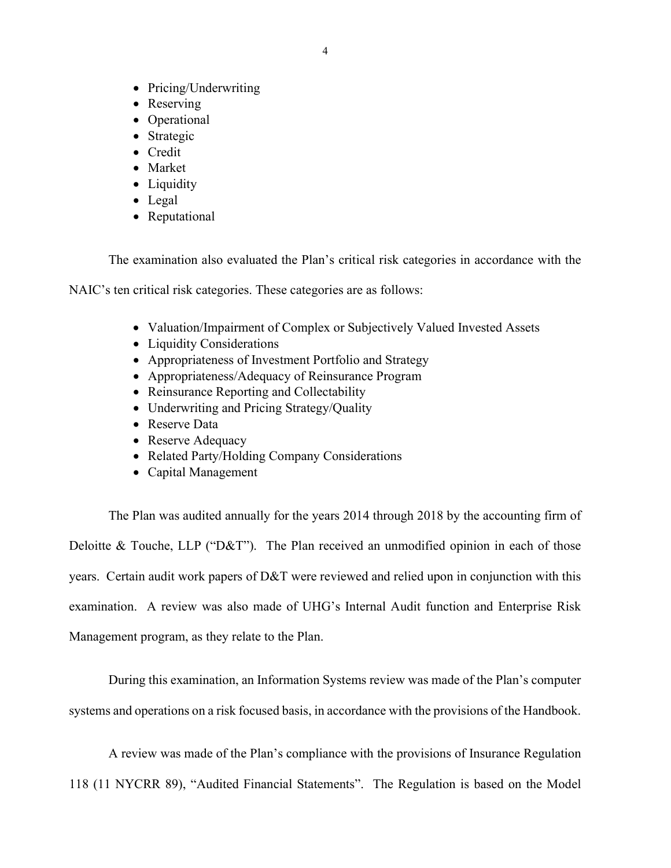- Pricing/Underwriting
- Reserving
- Operational
- Strategic
- Credit
- Market
- Liquidity
- Legal
- Reputational

The examination also evaluated the Plan's critical risk categories in accordance with the

NAIC's ten critical risk categories. These categories are as follows:

- Valuation/Impairment of Complex or Subjectively Valued Invested Assets
- Liquidity Considerations
- Appropriateness of Investment Portfolio and Strategy
- Appropriateness/Adequacy of Reinsurance Program
- Reinsurance Reporting and Collectability
- Underwriting and Pricing Strategy/Quality
- Reserve Data
- Reserve Adequacy
- Related Party/Holding Company Considerations
- Capital Management

The Plan was audited annually for the years 2014 through 2018 by the accounting firm of Deloitte & Touche, LLP ("D&T"). The Plan received an unmodified opinion in each of those years. Certain audit work papers of D&T were reviewed and relied upon in conjunction with this examination. A review was also made of UHG's Internal Audit function and Enterprise Risk Management program, as they relate to the Plan.

During this examination, an Information Systems review was made of the Plan's computer systems and operations on a risk focused basis, in accordance with the provisions of the Handbook.

A review was made of the Plan's compliance with the provisions of Insurance Regulation 118 (11 NYCRR 89), "Audited Financial Statements". The Regulation is based on the Model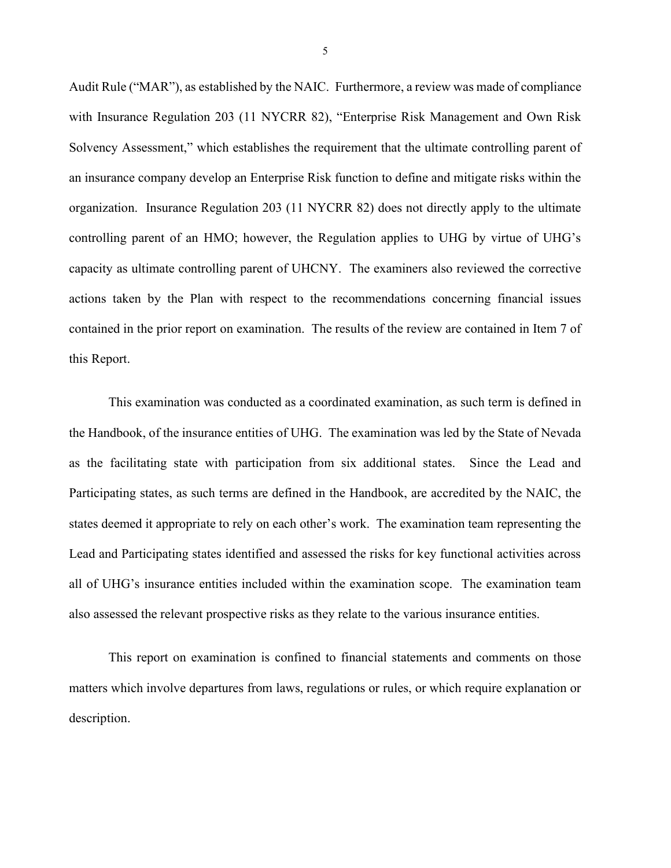Audit Rule ("MAR"), as established by the NAIC. Furthermore, a review was made of compliance with Insurance Regulation 203 (11 NYCRR 82), "Enterprise Risk Management and Own Risk Solvency Assessment," which establishes the requirement that the ultimate controlling parent of an insurance company develop an Enterprise Risk function to define and mitigate risks within the organization. Insurance Regulation 203 (11 NYCRR 82) does not directly apply to the ultimate controlling parent of an HMO; however, the Regulation applies to UHG by virtue of UHG's capacity as ultimate controlling parent of UHCNY. The examiners also reviewed the corrective actions taken by the Plan with respect to the recommendations concerning financial issues contained in the prior report on examination. The results of the review are contained in Item 7 of this Report.

This examination was conducted as a coordinated examination, as such term is defined in the Handbook, of the insurance entities of UHG. The examination was led by the State of Nevada as the facilitating state with participation from six additional states. Since the Lead and Participating states, as such terms are defined in the Handbook, are accredited by the NAIC, the states deemed it appropriate to rely on each other's work. The examination team representing the Lead and Participating states identified and assessed the risks for key functional activities across all of UHG's insurance entities included within the examination scope. The examination team also assessed the relevant prospective risks as they relate to the various insurance entities.

This report on examination is confined to financial statements and comments on those matters which involve departures from laws, regulations or rules, or which require explanation or description.

5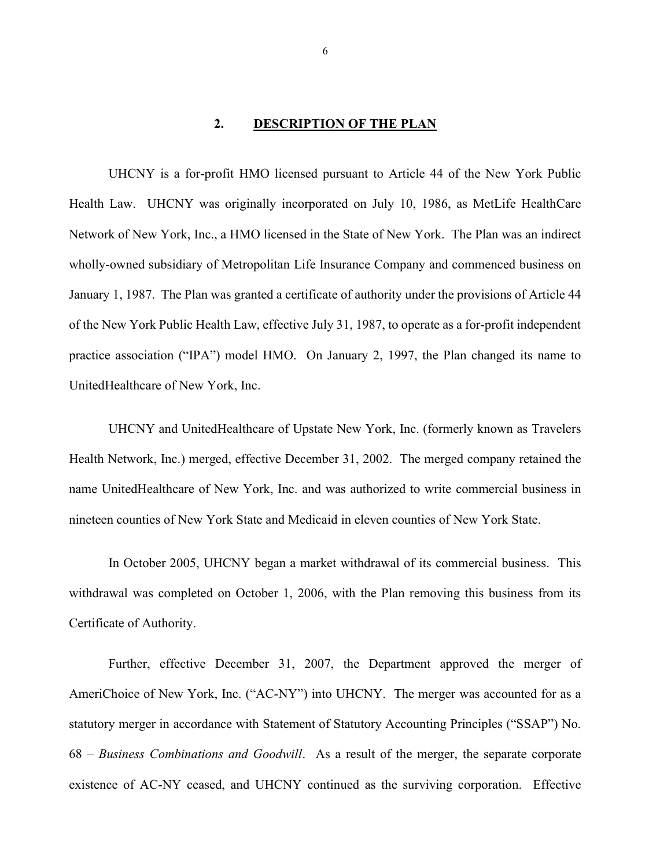#### 2. DESCRIPTION OF THE PLAN

UHCNY is a for-profit HMO licensed pursuant to Article 44 of the New York Public Health Law. UHCNY was originally incorporated on July 10, 1986, as MetLife HealthCare Network of New York, Inc., a HMO licensed in the State of New York. The Plan was an indirect wholly-owned subsidiary of Metropolitan Life Insurance Company and commenced business on January 1, 1987. The Plan was granted a certificate of authority under the provisions of Article 44 of the New York Public Health Law, effective July 31, 1987, to operate as a for-profit independent practice association ("IPA") model HMO. On January 2, 1997, the Plan changed its name to UnitedHealthcare of New York, Inc.

UHCNY and UnitedHealthcare of Upstate New York, Inc. (formerly known as Travelers Health Network, Inc.) merged, effective December 31, 2002. The merged company retained the name UnitedHealthcare of New York, Inc. and was authorized to write commercial business in nineteen counties of New York State and Medicaid in eleven counties of New York State.

In October 2005, UHCNY began a market withdrawal of its commercial business. This withdrawal was completed on October 1, 2006, with the Plan removing this business from its Certificate of Authority.

Further, effective December 31, 2007, the Department approved the merger of AmeriChoice of New York, Inc. ("AC-NY") into UHCNY. The merger was accounted for as a statutory merger in accordance with Statement of Statutory Accounting Principles ("SSAP") No. 68 – Business Combinations and Goodwill. As a result of the merger, the separate corporate existence of AC-NY ceased, and UHCNY continued as the surviving corporation. Effective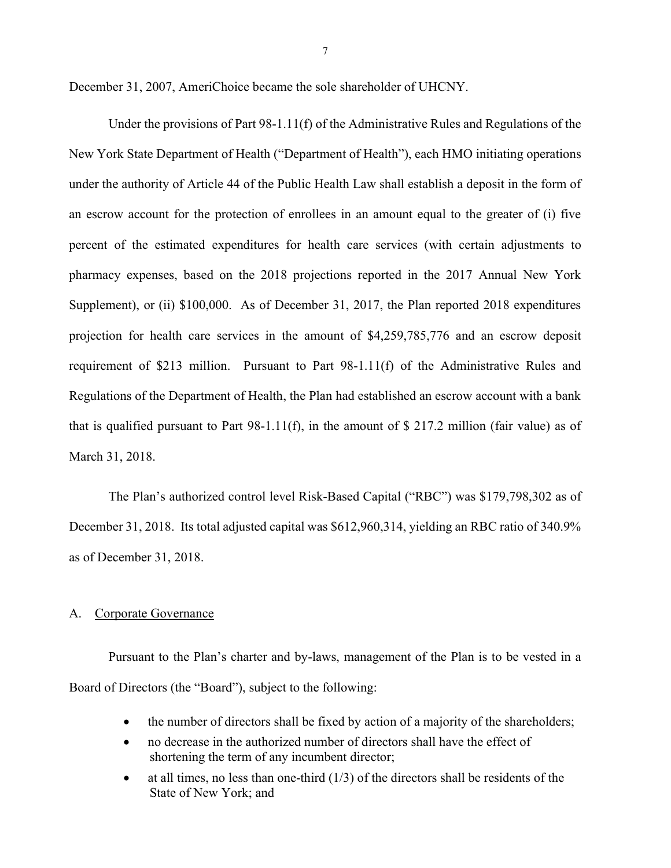December 31, 2007, AmeriChoice became the sole shareholder of UHCNY.

Under the provisions of Part 98-1.11(f) of the Administrative Rules and Regulations of the New York State Department of Health ("Department of Health"), each HMO initiating operations under the authority of Article 44 of the Public Health Law shall establish a deposit in the form of an escrow account for the protection of enrollees in an amount equal to the greater of (i) five percent of the estimated expenditures for health care services (with certain adjustments to pharmacy expenses, based on the 2018 projections reported in the 2017 Annual New York Supplement), or (ii) \$100,000. As of December 31, 2017, the Plan reported 2018 expenditures projection for health care services in the amount of \$4,259,785,776 and an escrow deposit requirement of \$213 million. Pursuant to Part 98-1.11(f) of the Administrative Rules and Regulations of the Department of Health, the Plan had established an escrow account with a bank that is qualified pursuant to Part 98-1.11(f), in the amount of  $\$$  217.2 million (fair value) as of March 31, 2018.

The Plan's authorized control level Risk-Based Capital ("RBC") was \$179,798,302 as of December 31, 2018. Its total adjusted capital was \$612,960,314, yielding an RBC ratio of 340.9% as of December 31, 2018.

#### A. Corporate Governance

Pursuant to the Plan's charter and by-laws, management of the Plan is to be vested in a Board of Directors (the "Board"), subject to the following:

- the number of directors shall be fixed by action of a majority of the shareholders;
- no decrease in the authorized number of directors shall have the effect of shortening the term of any incumbent director;
- at all times, no less than one-third (1/3) of the directors shall be residents of the State of New York; and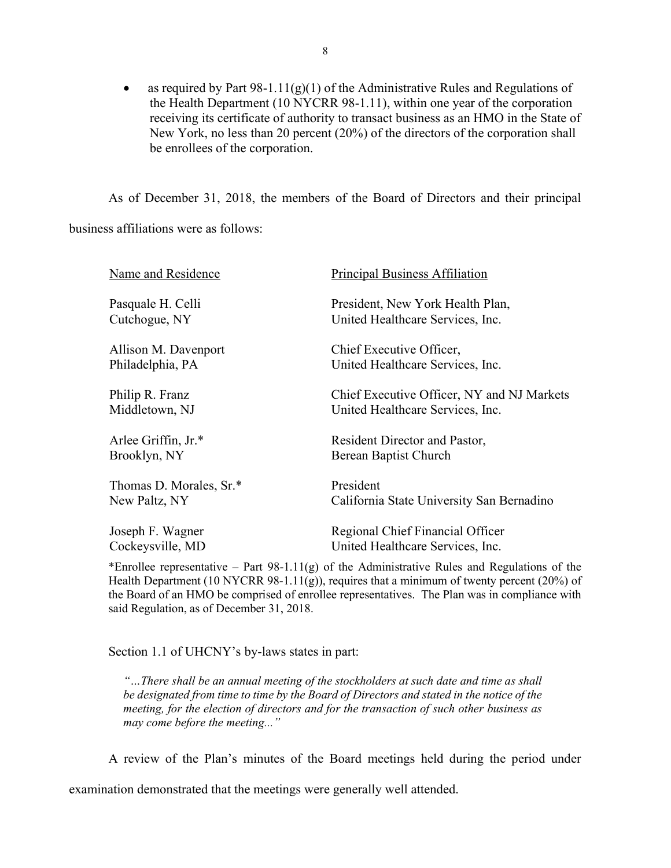• as required by Part  $98-1.11(g)(1)$  of the Administrative Rules and Regulations of the Health Department (10 NYCRR 98-1.11), within one year of the corporation receiving its certificate of authority to transact business as an HMO in the State of New York, no less than 20 percent (20%) of the directors of the corporation shall be enrollees of the corporation.

As of December 31, 2018, the members of the Board of Directors and their principal

business affiliations were as follows:

| Name and Residence      | <b>Principal Business Affiliation</b>      |
|-------------------------|--------------------------------------------|
| Pasquale H. Celli       | President, New York Health Plan,           |
| Cutchogue, NY           | United Healthcare Services, Inc.           |
| Allison M. Davenport    | Chief Executive Officer,                   |
| Philadelphia, PA        | United Healthcare Services, Inc.           |
| Philip R. Franz         | Chief Executive Officer, NY and NJ Markets |
| Middletown, NJ          | United Healthcare Services, Inc.           |
| Arlee Griffin, Jr.*     | Resident Director and Pastor,              |
| Brooklyn, NY            | Berean Baptist Church                      |
| Thomas D. Morales, Sr.* | President                                  |
| New Paltz, NY           | California State University San Bernadino  |
| Joseph F. Wagner        | Regional Chief Financial Officer           |
| Cockeysville, MD        | United Healthcare Services, Inc.           |

\*Enrollee representative – Part 98-1.11(g) of the Administrative Rules and Regulations of the Health Department (10 NYCRR 98-1.11(g)), requires that a minimum of twenty percent (20%) of the Board of an HMO be comprised of enrollee representatives. The Plan was in compliance with said Regulation, as of December 31, 2018.

Section 1.1 of UHCNY's by-laws states in part:

"…There shall be an annual meeting of the stockholders at such date and time as shall be designated from time to time by the Board of Directors and stated in the notice of the meeting, for the election of directors and for the transaction of such other business as may come before the meeting..."

A review of the Plan's minutes of the Board meetings held during the period under

examination demonstrated that the meetings were generally well attended.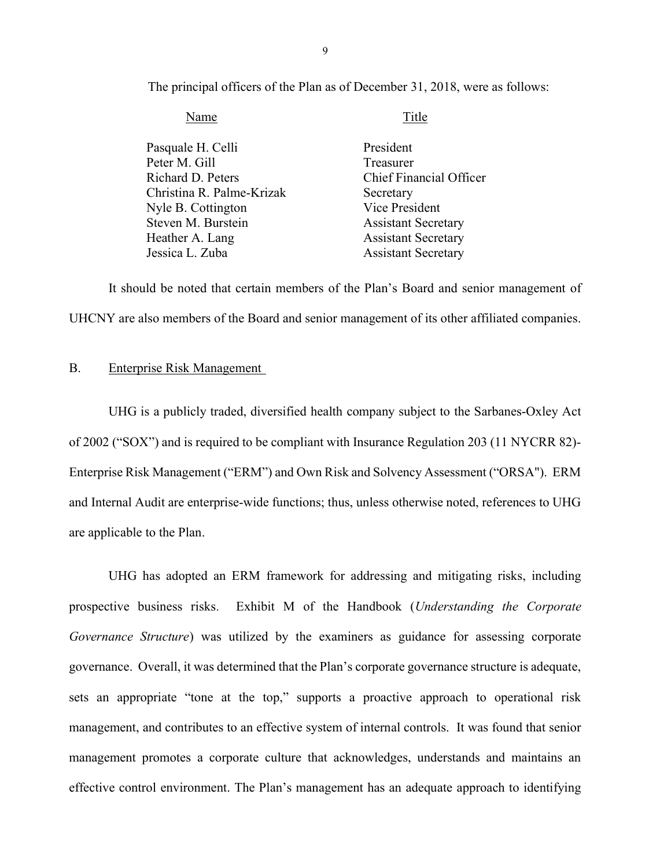The principal officers of the Plan as of December 31, 2018, were as follows:

| Name                      | Title                          |
|---------------------------|--------------------------------|
| Pasquale H. Celli         | President                      |
| Peter M. Gill             | Treasurer                      |
| Richard D. Peters         | <b>Chief Financial Officer</b> |
| Christina R. Palme-Krizak | Secretary                      |
| Nyle B. Cottington        | Vice President                 |
| Steven M. Burstein        | <b>Assistant Secretary</b>     |
| Heather A. Lang           | <b>Assistant Secretary</b>     |
| Jessica L. Zuba           | <b>Assistant Secretary</b>     |

It should be noted that certain members of the Plan's Board and senior management of UHCNY are also members of the Board and senior management of its other affiliated companies.

#### B. Enterprise Risk Management

UHG is a publicly traded, diversified health company subject to the Sarbanes-Oxley Act of 2002 ("SOX") and is required to be compliant with Insurance Regulation 203 (11 NYCRR 82)- Enterprise Risk Management ("ERM") and Own Risk and Solvency Assessment ("ORSA"). ERM and Internal Audit are enterprise-wide functions; thus, unless otherwise noted, references to UHG are applicable to the Plan.

UHG has adopted an ERM framework for addressing and mitigating risks, including prospective business risks. Exhibit M of the Handbook (Understanding the Corporate Governance Structure) was utilized by the examiners as guidance for assessing corporate governance. Overall, it was determined that the Plan's corporate governance structure is adequate, sets an appropriate "tone at the top," supports a proactive approach to operational risk management, and contributes to an effective system of internal controls. It was found that senior management promotes a corporate culture that acknowledges, understands and maintains an effective control environment. The Plan's management has an adequate approach to identifying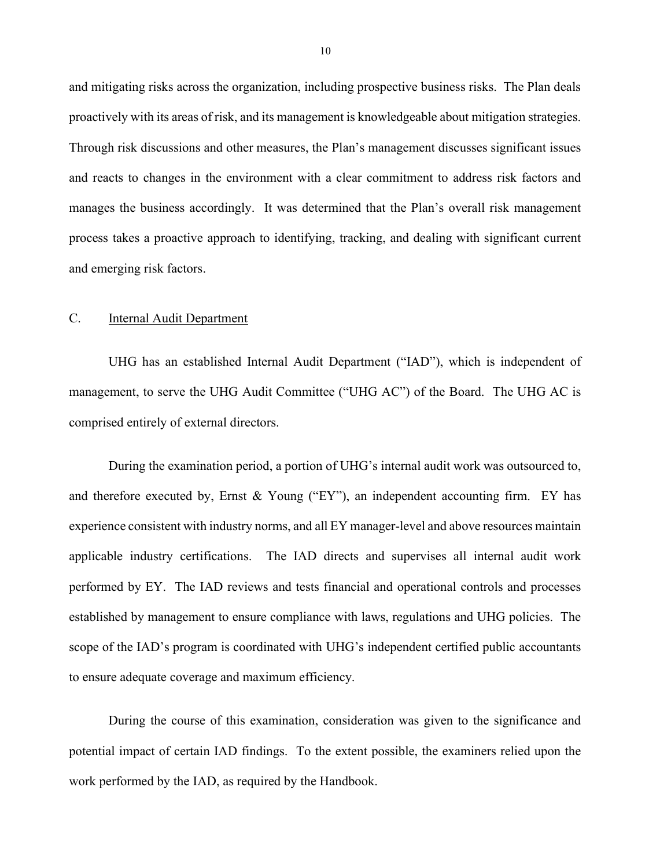and mitigating risks across the organization, including prospective business risks. The Plan deals proactively with its areas of risk, and its management is knowledgeable about mitigation strategies. Through risk discussions and other measures, the Plan's management discusses significant issues and reacts to changes in the environment with a clear commitment to address risk factors and manages the business accordingly. It was determined that the Plan's overall risk management process takes a proactive approach to identifying, tracking, and dealing with significant current and emerging risk factors.

#### C. Internal Audit Department

UHG has an established Internal Audit Department ("IAD"), which is independent of management, to serve the UHG Audit Committee ("UHG AC") of the Board. The UHG AC is comprised entirely of external directors.

During the examination period, a portion of UHG's internal audit work was outsourced to, and therefore executed by, Ernst & Young ("EY"), an independent accounting firm. EY has experience consistent with industry norms, and all EY manager-level and above resources maintain applicable industry certifications. The IAD directs and supervises all internal audit work performed by EY. The IAD reviews and tests financial and operational controls and processes established by management to ensure compliance with laws, regulations and UHG policies. The scope of the IAD's program is coordinated with UHG's independent certified public accountants to ensure adequate coverage and maximum efficiency.

During the course of this examination, consideration was given to the significance and potential impact of certain IAD findings. To the extent possible, the examiners relied upon the work performed by the IAD, as required by the Handbook.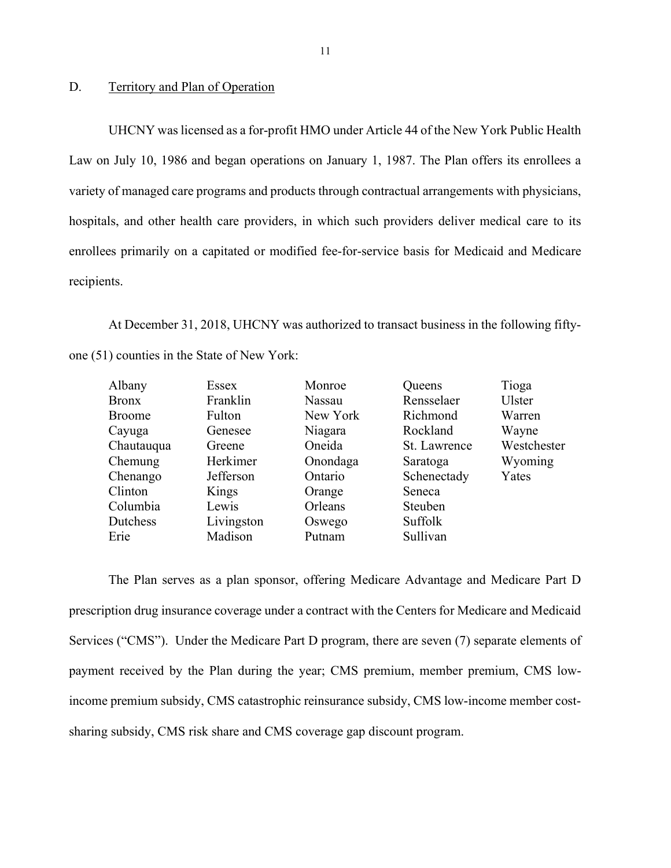#### D. Territory and Plan of Operation

UHCNY was licensed as a for-profit HMO under Article 44 of the New York Public Health Law on July 10, 1986 and began operations on January 1, 1987. The Plan offers its enrollees a variety of managed care programs and products through contractual arrangements with physicians, hospitals, and other health care providers, in which such providers deliver medical care to its enrollees primarily on a capitated or modified fee-for-service basis for Medicaid and Medicare recipients.

At December 31, 2018, UHCNY was authorized to transact business in the following fiftyone (51) counties in the State of New York:

| Albany        | Essex      | Monroe   | Queens       | Tioga         |
|---------------|------------|----------|--------------|---------------|
| <b>Bronx</b>  | Franklin   | Nassau   | Rensselaer   | <b>Ulster</b> |
| <b>Broome</b> | Fulton     | New York | Richmond     | Warren        |
| Cayuga        | Genesee    | Niagara  | Rockland     | Wayne         |
| Chautauqua    | Greene     | Oneida   | St. Lawrence | Westchester   |
| Chemung       | Herkimer   | Onondaga | Saratoga     | Wyoming       |
| Chenango      | Jefferson  | Ontario  | Schenectady  | Yates         |
| Clinton       | Kings      | Orange   | Seneca       |               |
| Columbia      | Lewis      | Orleans  | Steuben      |               |
| Dutchess      | Livingston | Oswego   | Suffolk      |               |
| Erie          | Madison    | Putnam   | Sullivan     |               |

The Plan serves as a plan sponsor, offering Medicare Advantage and Medicare Part D prescription drug insurance coverage under a contract with the Centers for Medicare and Medicaid Services ("CMS"). Under the Medicare Part D program, there are seven (7) separate elements of payment received by the Plan during the year; CMS premium, member premium, CMS lowincome premium subsidy, CMS catastrophic reinsurance subsidy, CMS low-income member costsharing subsidy, CMS risk share and CMS coverage gap discount program.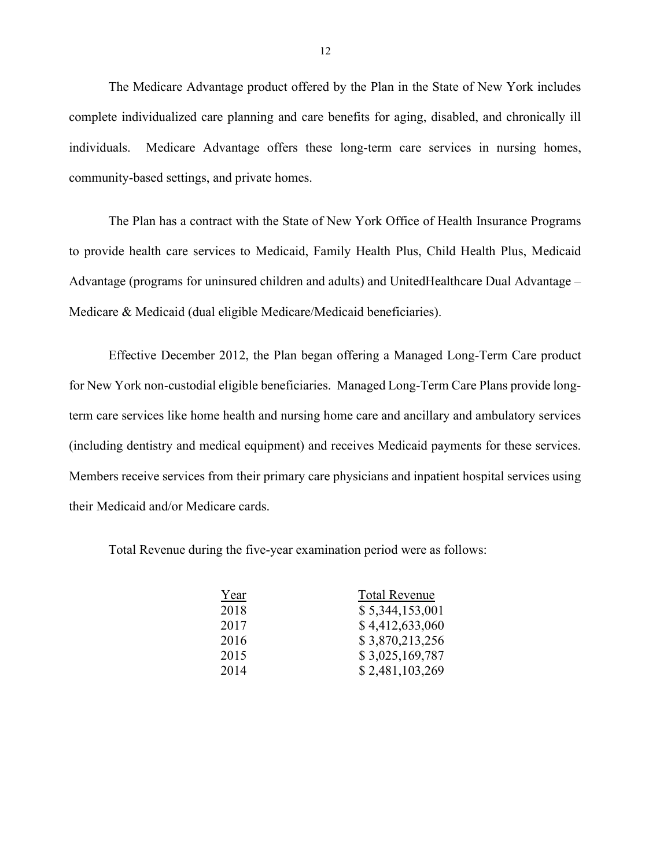The Medicare Advantage product offered by the Plan in the State of New York includes complete individualized care planning and care benefits for aging, disabled, and chronically ill individuals. Medicare Advantage offers these long-term care services in nursing homes, community-based settings, and private homes.

The Plan has a contract with the State of New York Office of Health Insurance Programs to provide health care services to Medicaid, Family Health Plus, Child Health Plus, Medicaid Advantage (programs for uninsured children and adults) and UnitedHealthcare Dual Advantage – Medicare & Medicaid (dual eligible Medicare/Medicaid beneficiaries).

Effective December 2012, the Plan began offering a Managed Long-Term Care product for New York non-custodial eligible beneficiaries. Managed Long-Term Care Plans provide longterm care services like home health and nursing home care and ancillary and ambulatory services (including dentistry and medical equipment) and receives Medicaid payments for these services. Members receive services from their primary care physicians and inpatient hospital services using their Medicaid and/or Medicare cards.

Total Revenue during the five-year examination period were as follows:

| Year | <b>Total Revenue</b> |
|------|----------------------|
| 2018 | \$5,344,153,001      |
| 2017 | \$4,412,633,060      |
| 2016 | \$3,870,213,256      |
| 2015 | \$3,025,169,787      |
| 2014 | \$2,481,103,269      |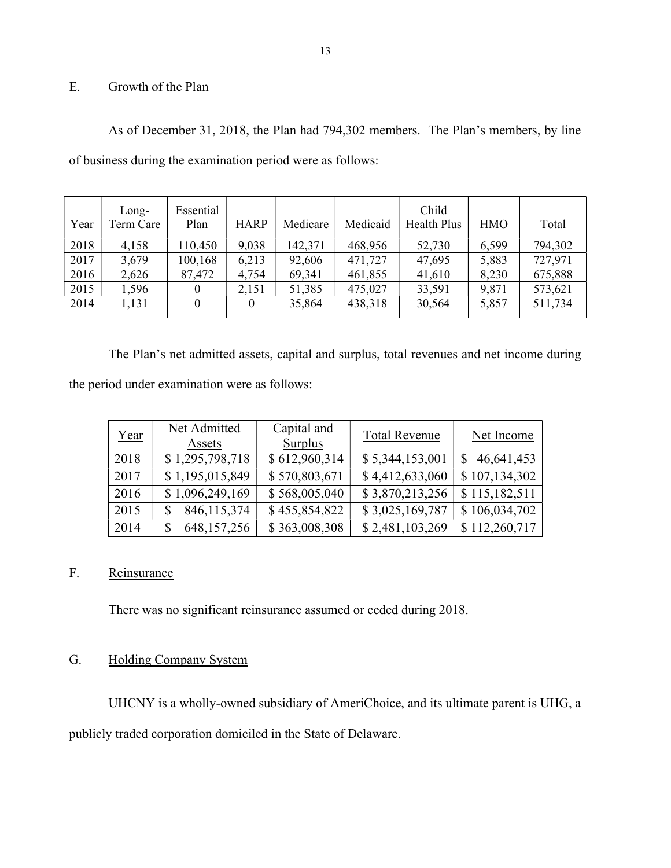## E. Growth of the Plan

As of December 31, 2018, the Plan had 794,302 members. The Plan's members, by line of business during the examination period were as follows:

| Year | Long-<br>Term Care | Essential<br>Plan | <b>HARP</b> | Medicare | Medicaid | Child<br>Health Plus | <b>HMO</b> | Total   |
|------|--------------------|-------------------|-------------|----------|----------|----------------------|------------|---------|
| 2018 | 4,158              | 110,450           | 9,038       | 142,371  | 468,956  | 52,730               | 6,599      | 794,302 |
| 2017 | 3,679              | 100,168           | 6,213       | 92,606   | 471,727  | 47,695               | 5,883      | 727,971 |
| 2016 | 2,626              | 87,472            | 4,754       | 69,341   | 461,855  | 41,610               | 8,230      | 675,888 |
| 2015 | 1,596              | 0                 | 2,151       | 51,385   | 475,027  | 33,591               | 9,871      | 573,621 |
| 2014 | 1,131              | $\Omega$          | $\Omega$    | 35,864   | 438,318  | 30,564               | 5,857      | 511,734 |

The Plan's net admitted assets, capital and surplus, total revenues and net income during the period under examination were as follows:

| Year | Net Admitted<br>Assets | Capital and<br>Surplus | <b>Total Revenue</b> | Net Income    |
|------|------------------------|------------------------|----------------------|---------------|
| 2018 | \$1,295,798,718        | \$612,960,314          | \$5,344,153,001      | 46,641,453    |
| 2017 | \$1,195,015,849        | \$570,803,671          | \$4,412,633,060      | \$107,134,302 |
| 2016 | \$1,096,249,169        | \$568,005,040          | \$3,870,213,256      | \$115,182,511 |
| 2015 | 846, 115, 374          | \$455,854,822          | \$3,025,169,787      | \$106,034,702 |
| 2014 | 648, 157, 256          | \$363,008,308          | \$2,481,103,269      | \$112,260,717 |

## F. Reinsurance

There was no significant reinsurance assumed or ceded during 2018.

## G. Holding Company System

UHCNY is a wholly-owned subsidiary of AmeriChoice, and its ultimate parent is UHG, a publicly traded corporation domiciled in the State of Delaware.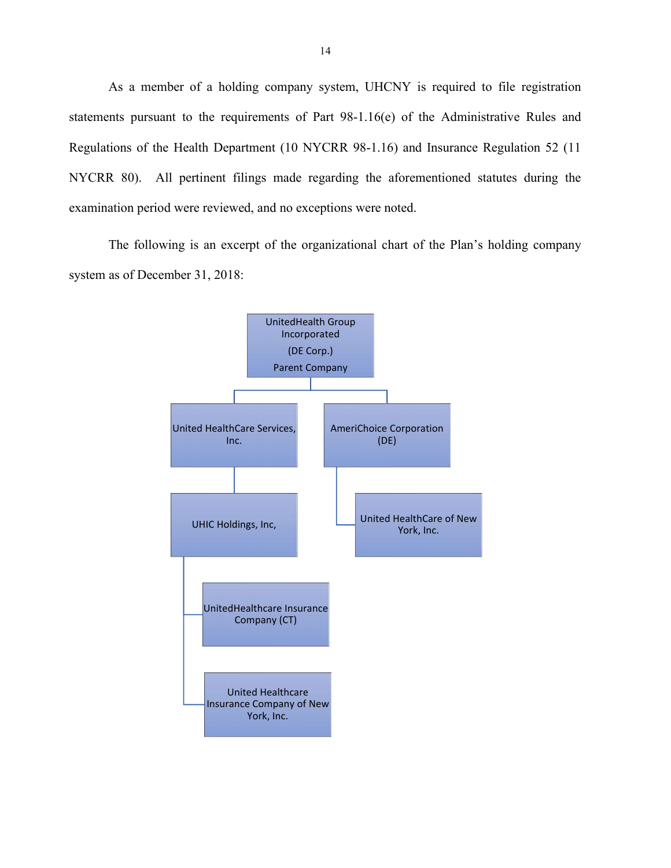As a member of a holding company system, UHCNY is required to file registration statements pursuant to the requirements of Part 98-1.16(e) of the Administrative Rules and Regulations of the Health Department (10 NYCRR 98-1.16) and Insurance Regulation 52 (11 NYCRR 80). All pertinent filings made regarding the aforementioned statutes during the examination period were reviewed, and no exceptions were noted.

The following is an excerpt of the organizational chart of the Plan's holding company system as of December 31, 2018:

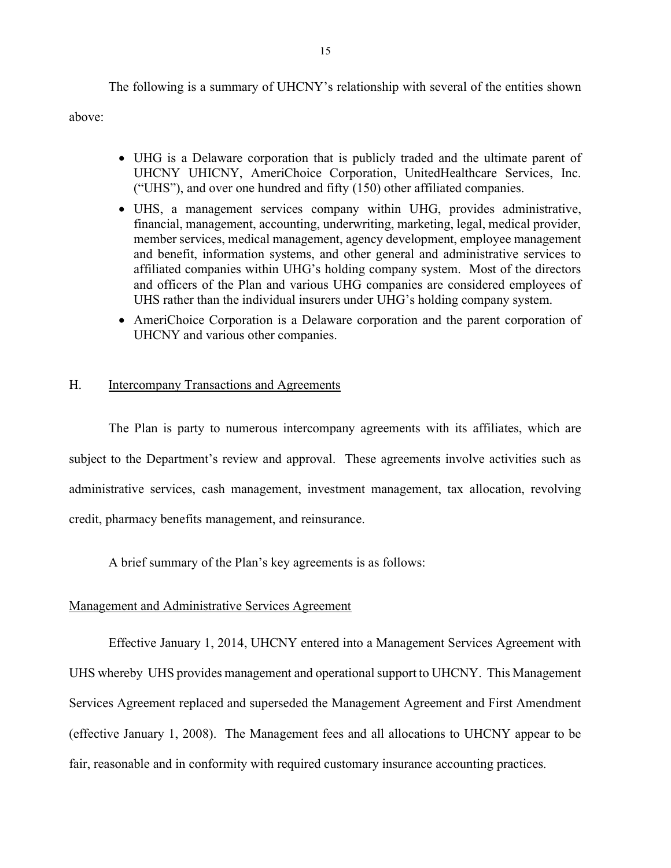The following is a summary of UHCNY's relationship with several of the entities shown

above:

- UHG is a Delaware corporation that is publicly traded and the ultimate parent of UHCNY UHICNY, AmeriChoice Corporation, UnitedHealthcare Services, Inc. ("UHS"), and over one hundred and fifty (150) other affiliated companies.
- UHS, a management services company within UHG, provides administrative, financial, management, accounting, underwriting, marketing, legal, medical provider, member services, medical management, agency development, employee management and benefit, information systems, and other general and administrative services to affiliated companies within UHG's holding company system. Most of the directors and officers of the Plan and various UHG companies are considered employees of UHS rather than the individual insurers under UHG's holding company system.
- AmeriChoice Corporation is a Delaware corporation and the parent corporation of UHCNY and various other companies.

#### H. Intercompany Transactions and Agreements

 The Plan is party to numerous intercompany agreements with its affiliates, which are subject to the Department's review and approval. These agreements involve activities such as administrative services, cash management, investment management, tax allocation, revolving credit, pharmacy benefits management, and reinsurance.

A brief summary of the Plan's key agreements is as follows:

#### Management and Administrative Services Agreement

Effective January 1, 2014, UHCNY entered into a Management Services Agreement with UHS whereby UHS provides management and operational support to UHCNY. This Management Services Agreement replaced and superseded the Management Agreement and First Amendment (effective January 1, 2008). The Management fees and all allocations to UHCNY appear to be fair, reasonable and in conformity with required customary insurance accounting practices.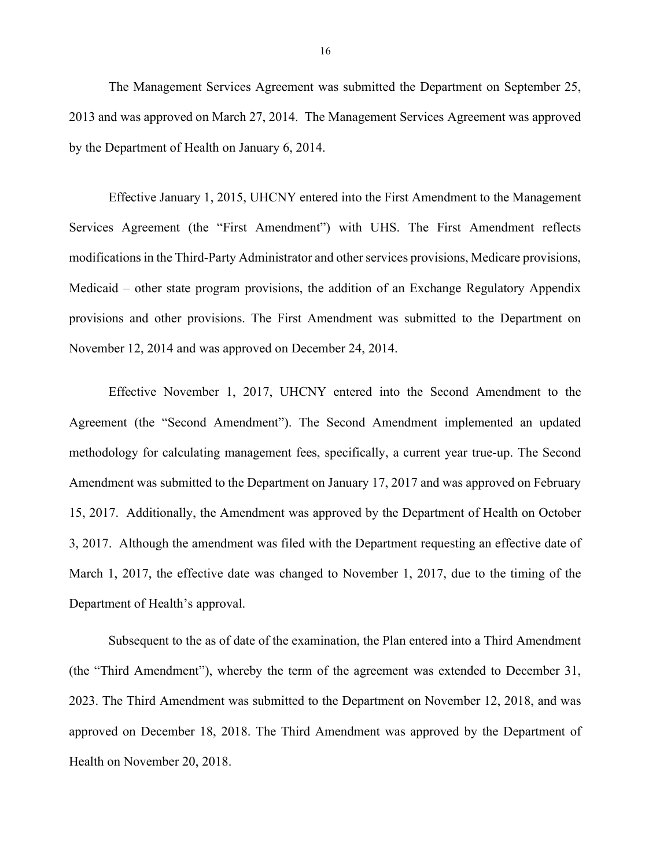The Management Services Agreement was submitted the Department on September 25, 2013 and was approved on March 27, 2014. The Management Services Agreement was approved by the Department of Health on January 6, 2014.

Effective January 1, 2015, UHCNY entered into the First Amendment to the Management Services Agreement (the "First Amendment") with UHS. The First Amendment reflects modifications in the Third-Party Administrator and other services provisions, Medicare provisions, Medicaid – other state program provisions, the addition of an Exchange Regulatory Appendix provisions and other provisions. The First Amendment was submitted to the Department on November 12, 2014 and was approved on December 24, 2014.

Effective November 1, 2017, UHCNY entered into the Second Amendment to the Agreement (the "Second Amendment"). The Second Amendment implemented an updated methodology for calculating management fees, specifically, a current year true-up. The Second Amendment was submitted to the Department on January 17, 2017 and was approved on February 15, 2017. Additionally, the Amendment was approved by the Department of Health on October 3, 2017. Although the amendment was filed with the Department requesting an effective date of March 1, 2017, the effective date was changed to November 1, 2017, due to the timing of the Department of Health's approval.

Subsequent to the as of date of the examination, the Plan entered into a Third Amendment (the "Third Amendment"), whereby the term of the agreement was extended to December 31, 2023. The Third Amendment was submitted to the Department on November 12, 2018, and was approved on December 18, 2018. The Third Amendment was approved by the Department of Health on November 20, 2018.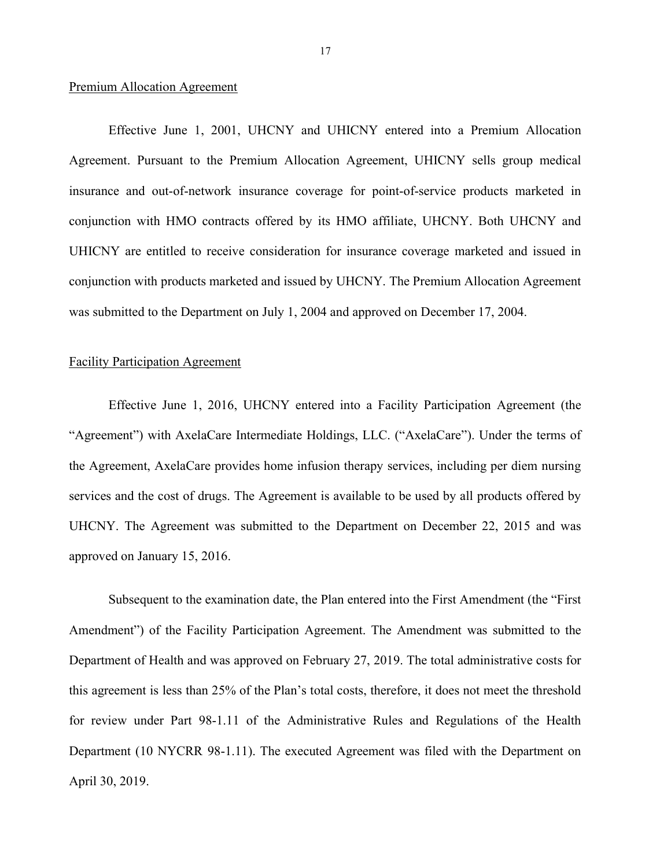#### Premium Allocation Agreement

Effective June 1, 2001, UHCNY and UHICNY entered into a Premium Allocation Agreement. Pursuant to the Premium Allocation Agreement, UHICNY sells group medical insurance and out-of-network insurance coverage for point-of-service products marketed in conjunction with HMO contracts offered by its HMO affiliate, UHCNY. Both UHCNY and UHICNY are entitled to receive consideration for insurance coverage marketed and issued in conjunction with products marketed and issued by UHCNY. The Premium Allocation Agreement was submitted to the Department on July 1, 2004 and approved on December 17, 2004.

#### Facility Participation Agreement

Effective June 1, 2016, UHCNY entered into a Facility Participation Agreement (the "Agreement") with AxelaCare Intermediate Holdings, LLC. ("AxelaCare"). Under the terms of the Agreement, AxelaCare provides home infusion therapy services, including per diem nursing services and the cost of drugs. The Agreement is available to be used by all products offered by UHCNY. The Agreement was submitted to the Department on December 22, 2015 and was approved on January 15, 2016.

Subsequent to the examination date, the Plan entered into the First Amendment (the "First Amendment") of the Facility Participation Agreement. The Amendment was submitted to the Department of Health and was approved on February 27, 2019. The total administrative costs for this agreement is less than 25% of the Plan's total costs, therefore, it does not meet the threshold for review under Part 98-1.11 of the Administrative Rules and Regulations of the Health Department (10 NYCRR 98-1.11). The executed Agreement was filed with the Department on April 30, 2019.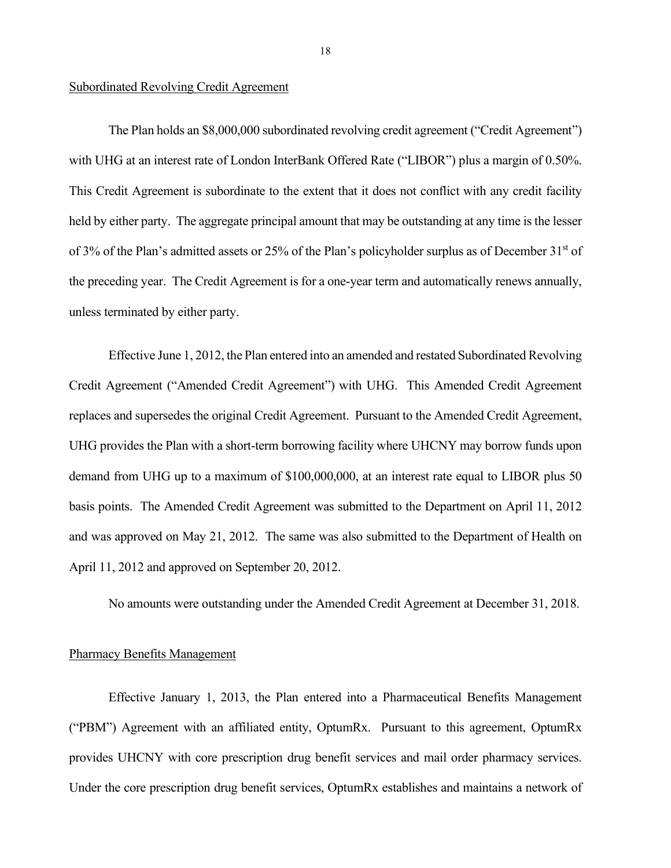#### Subordinated Revolving Credit Agreement

The Plan holds an \$8,000,000 subordinated revolving credit agreement ("Credit Agreement") with UHG at an interest rate of London InterBank Offered Rate ("LIBOR") plus a margin of 0.50%. This Credit Agreement is subordinate to the extent that it does not conflict with any credit facility held by either party. The aggregate principal amount that may be outstanding at any time is the lesser of 3% of the Plan's admitted assets or 25% of the Plan's policyholder surplus as of December  $31<sup>st</sup>$  of the preceding year. The Credit Agreement is for a one-year term and automatically renews annually, unless terminated by either party.

Effective June 1, 2012, the Plan entered into an amended and restated Subordinated Revolving Credit Agreement ("Amended Credit Agreement") with UHG. This Amended Credit Agreement replaces and supersedes the original Credit Agreement. Pursuant to the Amended Credit Agreement, UHG provides the Plan with a short-term borrowing facility where UHCNY may borrow funds upon demand from UHG up to a maximum of \$100,000,000, at an interest rate equal to LIBOR plus 50 basis points. The Amended Credit Agreement was submitted to the Department on April 11, 2012 and was approved on May 21, 2012. The same was also submitted to the Department of Health on April 11, 2012 and approved on September 20, 2012.

No amounts were outstanding under the Amended Credit Agreement at December 31, 2018.

#### Pharmacy Benefits Management

Effective January 1, 2013, the Plan entered into a Pharmaceutical Benefits Management ("PBM") Agreement with an affiliated entity, OptumRx. Pursuant to this agreement, OptumRx provides UHCNY with core prescription drug benefit services and mail order pharmacy services. Under the core prescription drug benefit services, OptumRx establishes and maintains a network of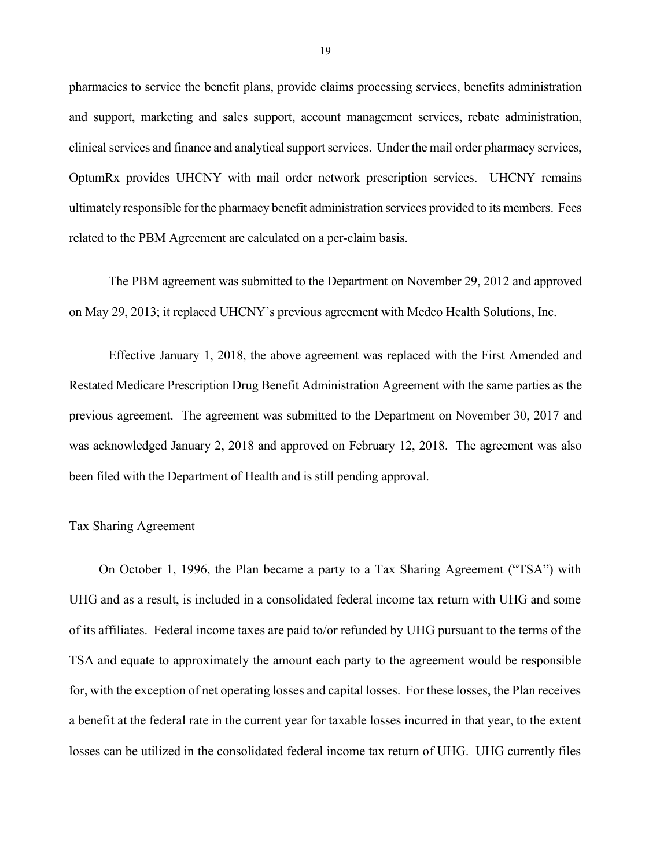pharmacies to service the benefit plans, provide claims processing services, benefits administration and support, marketing and sales support, account management services, rebate administration, clinical services and finance and analytical support services. Under the mail order pharmacy services, OptumRx provides UHCNY with mail order network prescription services. UHCNY remains ultimately responsible for the pharmacy benefit administration services provided to its members. Fees related to the PBM Agreement are calculated on a per-claim basis.

The PBM agreement was submitted to the Department on November 29, 2012 and approved on May 29, 2013; it replaced UHCNY's previous agreement with Medco Health Solutions, Inc.

Effective January 1, 2018, the above agreement was replaced with the First Amended and Restated Medicare Prescription Drug Benefit Administration Agreement with the same parties as the previous agreement. The agreement was submitted to the Department on November 30, 2017 and was acknowledged January 2, 2018 and approved on February 12, 2018. The agreement was also been filed with the Department of Health and is still pending approval.

#### Tax Sharing Agreement

On October 1, 1996, the Plan became a party to a Tax Sharing Agreement ("TSA") with UHG and as a result, is included in a consolidated federal income tax return with UHG and some of its affiliates. Federal income taxes are paid to/or refunded by UHG pursuant to the terms of the TSA and equate to approximately the amount each party to the agreement would be responsible for, with the exception of net operating losses and capital losses. For these losses, the Plan receives a benefit at the federal rate in the current year for taxable losses incurred in that year, to the extent losses can be utilized in the consolidated federal income tax return of UHG. UHG currently files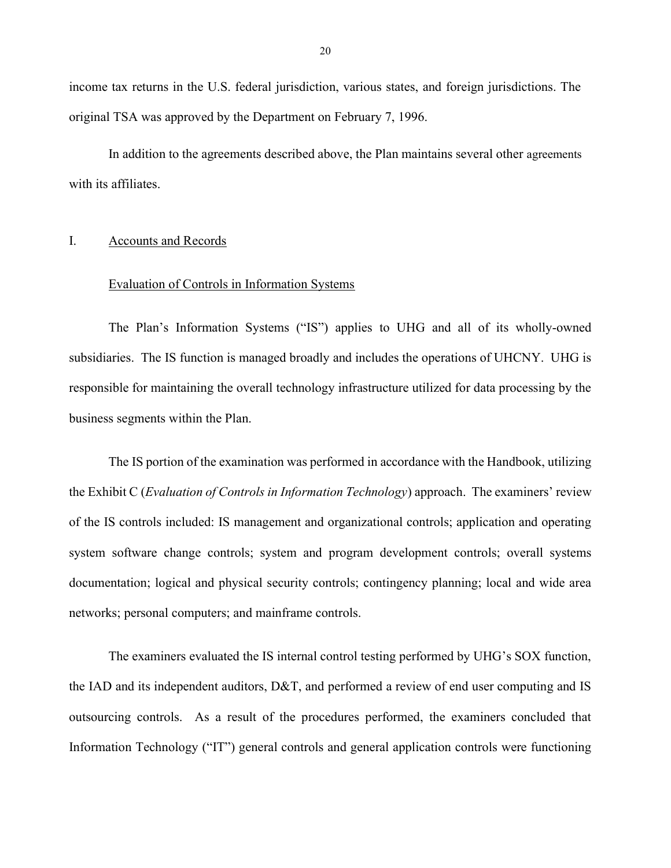income tax returns in the U.S. federal jurisdiction, various states, and foreign jurisdictions. The original TSA was approved by the Department on February 7, 1996.

In addition to the agreements described above, the Plan maintains several other agreements with its affiliates.

#### I. Accounts and Records

#### Evaluation of Controls in Information Systems

The Plan's Information Systems ("IS") applies to UHG and all of its wholly-owned subsidiaries. The IS function is managed broadly and includes the operations of UHCNY. UHG is responsible for maintaining the overall technology infrastructure utilized for data processing by the business segments within the Plan.

The IS portion of the examination was performed in accordance with the Handbook, utilizing the Exhibit C (*Evaluation of Controls in Information Technology*) approach. The examiners' review of the IS controls included: IS management and organizational controls; application and operating system software change controls; system and program development controls; overall systems documentation; logical and physical security controls; contingency planning; local and wide area networks; personal computers; and mainframe controls.

The examiners evaluated the IS internal control testing performed by UHG's SOX function, the IAD and its independent auditors, D&T, and performed a review of end user computing and IS outsourcing controls. As a result of the procedures performed, the examiners concluded that Information Technology ("IT") general controls and general application controls were functioning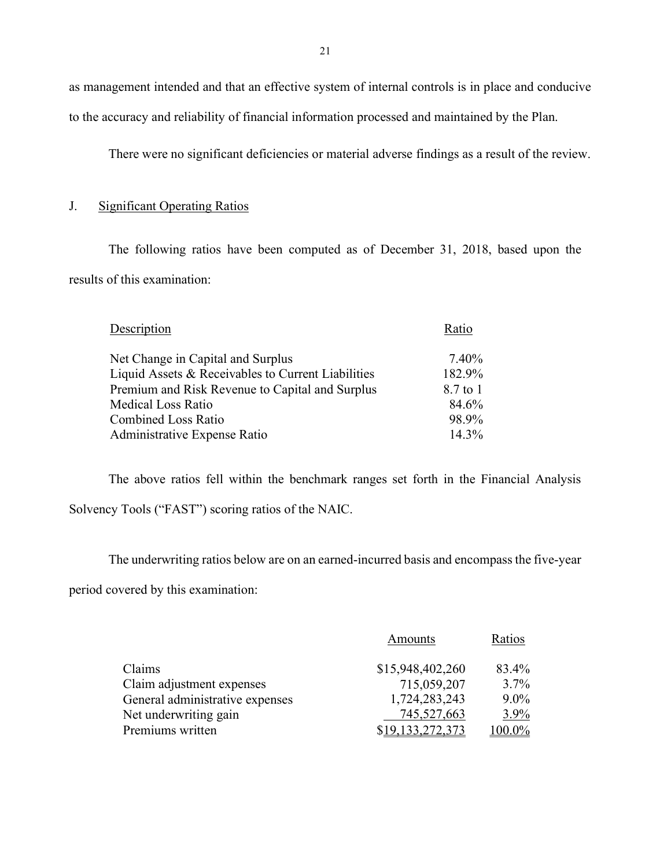as management intended and that an effective system of internal controls is in place and conducive to the accuracy and reliability of financial information processed and maintained by the Plan.

There were no significant deficiencies or material adverse findings as a result of the review.

### J. Significant Operating Ratios

The following ratios have been computed as of December 31, 2018, based upon the results of this examination:

| Description                                        | Ratio    |
|----------------------------------------------------|----------|
| Net Change in Capital and Surplus                  | 7.40%    |
| Liquid Assets & Receivables to Current Liabilities | 182.9%   |
| Premium and Risk Revenue to Capital and Surplus    | 8.7 to 1 |
| <b>Medical Loss Ratio</b>                          | 84.6%    |
| <b>Combined Loss Ratio</b>                         | 98.9%    |
| Administrative Expense Ratio                       | $14.3\%$ |

The above ratios fell within the benchmark ranges set forth in the Financial Analysis Solvency Tools ("FAST") scoring ratios of the NAIC.

The underwriting ratios below are on an earned-incurred basis and encompass the five-year

period covered by this examination:

|                                 | Amounts          | Ratios  |
|---------------------------------|------------------|---------|
| Claims                          | \$15,948,402,260 | 83.4%   |
| Claim adjustment expenses       | 715,059,207      | $3.7\%$ |
| General administrative expenses | 1,724,283,243    | $9.0\%$ |
| Net underwriting gain           | 745,527,663      | $3.9\%$ |
| Premiums written                | \$19,133,272,373 | 100.0%  |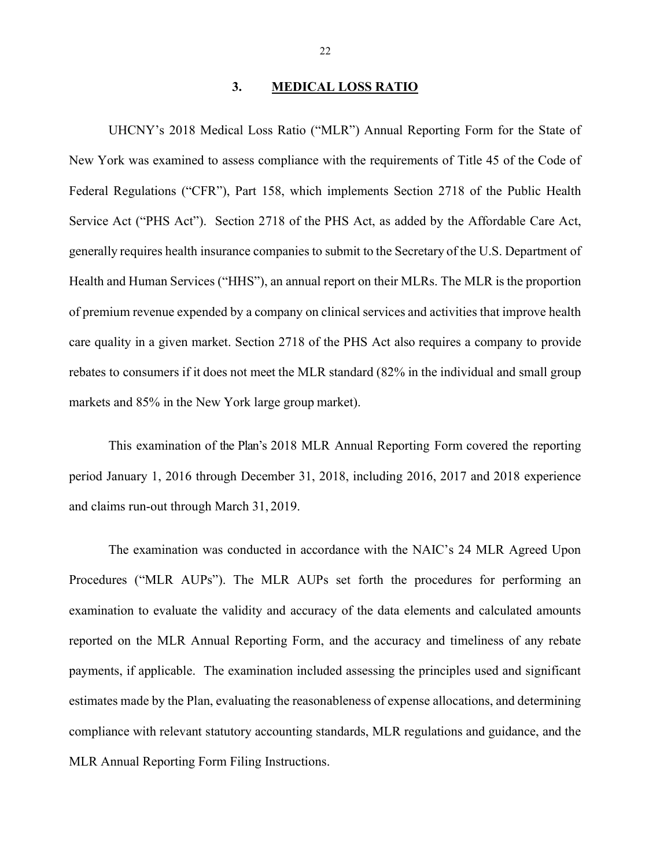#### 3. MEDICAL LOSS RATIO

UHCNY's 2018 Medical Loss Ratio ("MLR") Annual Reporting Form for the State of New York was examined to assess compliance with the requirements of Title 45 of the Code of Federal Regulations ("CFR"), Part 158, which implements Section 2718 of the Public Health Service Act ("PHS Act"). Section 2718 of the PHS Act, as added by the Affordable Care Act, generally requires health insurance companies to submit to the Secretary of the U.S. Department of Health and Human Services ("HHS"), an annual report on their MLRs. The MLR is the proportion of premium revenue expended by a company on clinical services and activities that improve health care quality in a given market. Section 2718 of the PHS Act also requires a company to provide rebates to consumers if it does not meet the MLR standard (82% in the individual and small group markets and 85% in the New York large group market).

This examination of the Plan's 2018 MLR Annual Reporting Form covered the reporting period January 1, 2016 through December 31, 2018, including 2016, 2017 and 2018 experience and claims run-out through March 31, 2019.

The examination was conducted in accordance with the NAIC's 24 MLR Agreed Upon Procedures ("MLR AUPs"). The MLR AUPs set forth the procedures for performing an examination to evaluate the validity and accuracy of the data elements and calculated amounts reported on the MLR Annual Reporting Form, and the accuracy and timeliness of any rebate payments, if applicable. The examination included assessing the principles used and significant estimates made by the Plan, evaluating the reasonableness of expense allocations, and determining compliance with relevant statutory accounting standards, MLR regulations and guidance, and the MLR Annual Reporting Form Filing Instructions.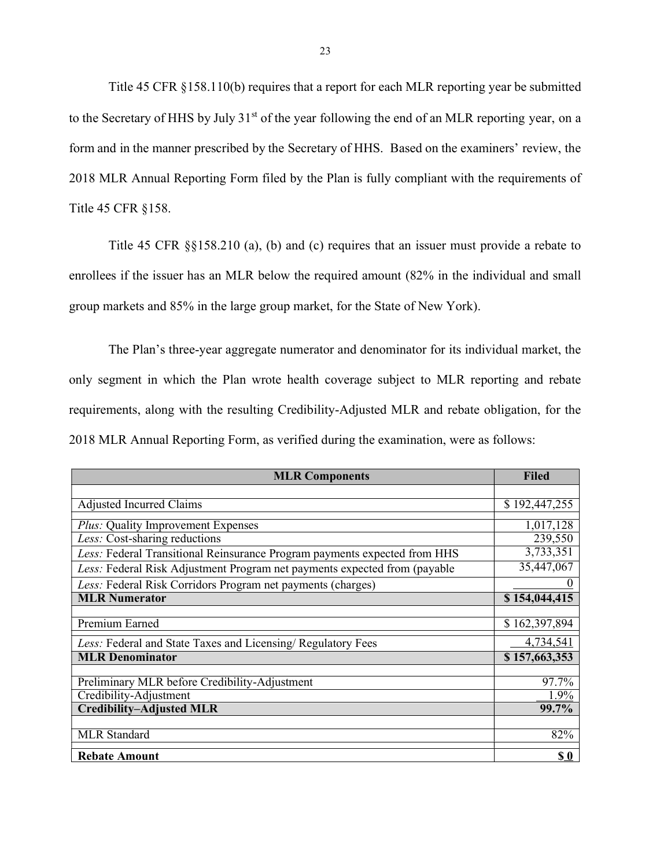Title 45 CFR §158.110(b) requires that a report for each MLR reporting year be submitted to the Secretary of HHS by July 31<sup>st</sup> of the year following the end of an MLR reporting year, on a form and in the manner prescribed by the Secretary of HHS. Based on the examiners' review, the 2018 MLR Annual Reporting Form filed by the Plan is fully compliant with the requirements of Title 45 CFR §158.

Title 45 CFR §§158.210 (a), (b) and (c) requires that an issuer must provide a rebate to enrollees if the issuer has an MLR below the required amount (82% in the individual and small group markets and 85% in the large group market, for the State of New York).

The Plan's three-year aggregate numerator and denominator for its individual market, the only segment in which the Plan wrote health coverage subject to MLR reporting and rebate requirements, along with the resulting Credibility-Adjusted MLR and rebate obligation, for the 2018 MLR Annual Reporting Form, as verified during the examination, were as follows:

| <b>MLR Components</b>                                                     | <b>Filed</b>  |
|---------------------------------------------------------------------------|---------------|
|                                                                           |               |
| <b>Adjusted Incurred Claims</b>                                           | \$192,447,255 |
| <i>Plus:</i> Quality Improvement Expenses                                 | 1,017,128     |
| Less: Cost-sharing reductions                                             | 239,550       |
| Less: Federal Transitional Reinsurance Program payments expected from HHS | 3,733,351     |
| Less: Federal Risk Adjustment Program net payments expected from (payable | 35,447,067    |
| Less: Federal Risk Corridors Program net payments (charges)               |               |
| <b>MLR Numerator</b>                                                      | \$154,044,415 |
|                                                                           |               |
| Premium Earned                                                            | \$162,397,894 |
| Less: Federal and State Taxes and Licensing/ Regulatory Fees              | 4,734,541     |
| <b>MLR Denominator</b>                                                    | \$157,663,353 |
|                                                                           |               |
| Preliminary MLR before Credibility-Adjustment                             | 97.7%         |
| Credibility-Adjustment                                                    | 1.9%          |
| <b>Credibility-Adjusted MLR</b>                                           | 99.7%         |
|                                                                           |               |
| <b>MLR</b> Standard                                                       | 82%           |
| <b>Rebate Amount</b>                                                      | \$0           |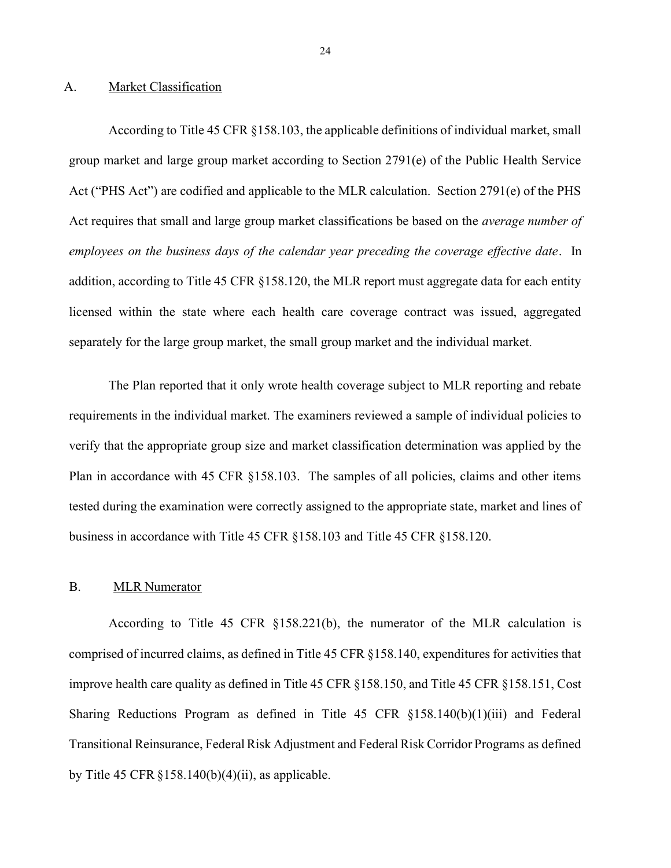#### A. Market Classification

According to Title 45 CFR §158.103, the applicable definitions of individual market, small group market and large group market according to Section 2791(e) of the Public Health Service Act ("PHS Act") are codified and applicable to the MLR calculation. Section 2791(e) of the PHS Act requires that small and large group market classifications be based on the *average number of* employees on the business days of the calendar year preceding the coverage effective date. In addition, according to Title 45 CFR §158.120, the MLR report must aggregate data for each entity licensed within the state where each health care coverage contract was issued, aggregated separately for the large group market, the small group market and the individual market.

The Plan reported that it only wrote health coverage subject to MLR reporting and rebate requirements in the individual market. The examiners reviewed a sample of individual policies to verify that the appropriate group size and market classification determination was applied by the Plan in accordance with 45 CFR §158.103. The samples of all policies, claims and other items tested during the examination were correctly assigned to the appropriate state, market and lines of business in accordance with Title 45 CFR §158.103 and Title 45 CFR §158.120.

#### B. MLR Numerator

According to Title 45 CFR §158.221(b), the numerator of the MLR calculation is comprised of incurred claims, as defined in Title 45 CFR §158.140, expenditures for activities that improve health care quality as defined in Title 45 CFR §158.150, and Title 45 CFR §158.151, Cost Sharing Reductions Program as defined in Title 45 CFR §158.140(b)(1)(iii) and Federal Transitional Reinsurance, Federal Risk Adjustment and Federal Risk Corridor Programs as defined by Title 45 CFR  $\S 158.140(b)(4)(ii)$ , as applicable.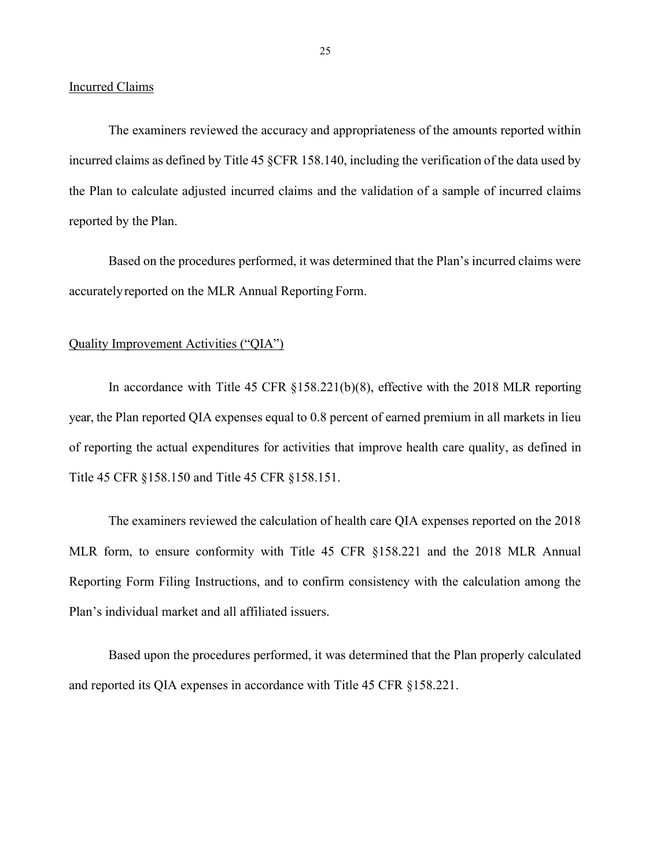Incurred Claims

The examiners reviewed the accuracy and appropriateness of the amounts reported within incurred claims as defined by Title 45 §CFR 158.140, including the verification of the data used by the Plan to calculate adjusted incurred claims and the validation of a sample of incurred claims reported by the Plan.

Based on the procedures performed, it was determined that the Plan's incurred claims were accurately reported on the MLR Annual Reporting Form.

#### Quality Improvement Activities ("QIA")

In accordance with Title 45 CFR §158.221(b)(8), effective with the 2018 MLR reporting year, the Plan reported QIA expenses equal to 0.8 percent of earned premium in all markets in lieu of reporting the actual expenditures for activities that improve health care quality, as defined in Title 45 CFR §158.150 and Title 45 CFR §158.151.

The examiners reviewed the calculation of health care QIA expenses reported on the 2018 MLR form, to ensure conformity with Title 45 CFR §158.221 and the 2018 MLR Annual Reporting Form Filing Instructions, and to confirm consistency with the calculation among the Plan's individual market and all affiliated issuers.

Based upon the procedures performed, it was determined that the Plan properly calculated and reported its QIA expenses in accordance with Title 45 CFR §158.221.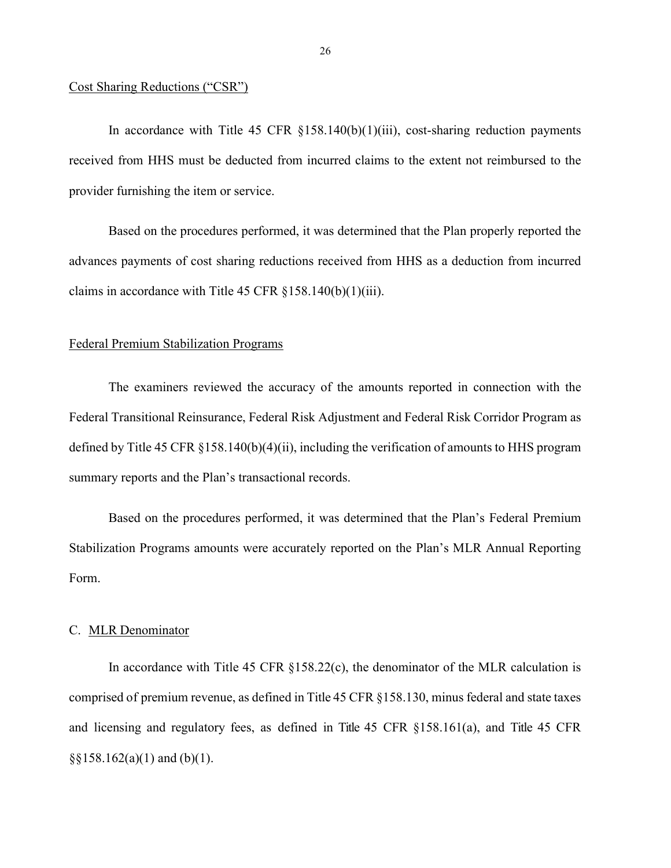#### Cost Sharing Reductions ("CSR")

In accordance with Title 45 CFR  $\S158.140(b)(1)(iii)$ , cost-sharing reduction payments received from HHS must be deducted from incurred claims to the extent not reimbursed to the provider furnishing the item or service.

Based on the procedures performed, it was determined that the Plan properly reported the advances payments of cost sharing reductions received from HHS as a deduction from incurred claims in accordance with Title 45 CFR  $\S 158.140(b)(1)(iii)$ .

#### Federal Premium Stabilization Programs

The examiners reviewed the accuracy of the amounts reported in connection with the Federal Transitional Reinsurance, Federal Risk Adjustment and Federal Risk Corridor Program as defined by Title 45 CFR §158.140(b)(4)(ii), including the verification of amounts to HHS program summary reports and the Plan's transactional records.

Based on the procedures performed, it was determined that the Plan's Federal Premium Stabilization Programs amounts were accurately reported on the Plan's MLR Annual Reporting Form.

#### C. MLR Denominator

In accordance with Title 45 CFR  $\S$ 158.22(c), the denominator of the MLR calculation is comprised of premium revenue, as defined in Title 45 CFR §158.130, minus federal and state taxes and licensing and regulatory fees, as defined in Title 45 CFR §158.161(a), and Title 45 CFR  $\S$ §158.162(a)(1) and (b)(1).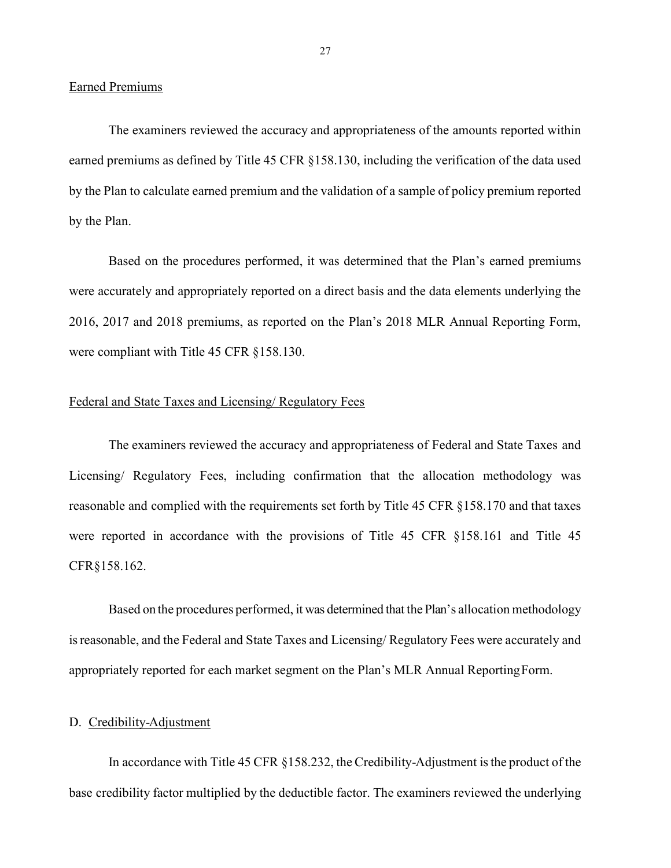The examiners reviewed the accuracy and appropriateness of the amounts reported within earned premiums as defined by Title 45 CFR §158.130, including the verification of the data used by the Plan to calculate earned premium and the validation of a sample of policy premium reported by the Plan.

Based on the procedures performed, it was determined that the Plan's earned premiums were accurately and appropriately reported on a direct basis and the data elements underlying the 2016, 2017 and 2018 premiums, as reported on the Plan's 2018 MLR Annual Reporting Form, were compliant with Title 45 CFR §158.130.

#### Federal and State Taxes and Licensing/ Regulatory Fees

The examiners reviewed the accuracy and appropriateness of Federal and State Taxes and Licensing/ Regulatory Fees, including confirmation that the allocation methodology was reasonable and complied with the requirements set forth by Title 45 CFR §158.170 and that taxes were reported in accordance with the provisions of Title 45 CFR §158.161 and Title 45 CFR§158.162.

Based on the procedures performed, it was determined that the Plan's allocation methodology is reasonable, and the Federal and State Taxes and Licensing/ Regulatory Fees were accurately and appropriately reported for each market segment on the Plan's MLR Annual Reporting Form.

#### D. Credibility-Adjustment

In accordance with Title 45 CFR §158.232, the Credibility-Adjustment is the product of the base credibility factor multiplied by the deductible factor. The examiners reviewed the underlying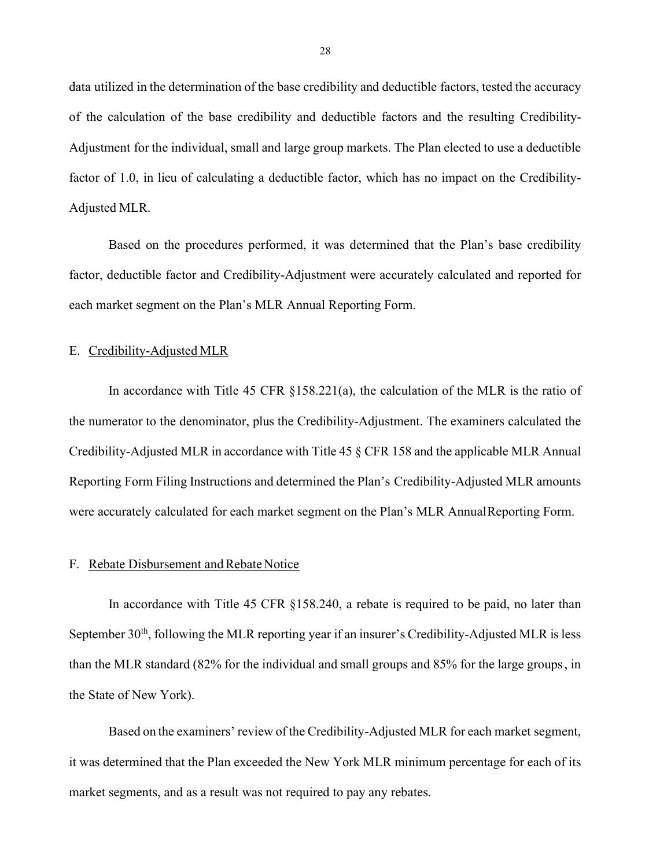data utilized in the determination of the base credibility and deductible factors, tested the accuracy of the calculation of the base credibility and deductible factors and the resulting Credibility-Adjustment for the individual, small and large group markets. The Plan elected to use a deductible factor of 1.0, in lieu of calculating a deductible factor, which has no impact on the Credibility-Adjusted MLR.

Based on the procedures performed, it was determined that the Plan's base credibility factor, deductible factor and Credibility-Adjustment were accurately calculated and reported for each market segment on the Plan's MLR Annual Reporting Form.

#### E. Credibility-Adjusted MLR

In accordance with Title 45 CFR §158.221(a), the calculation of the MLR is the ratio of the numerator to the denominator, plus the Credibility-Adjustment. The examiners calculated the Credibility-Adjusted MLR in accordance with Title 45 § CFR 158 and the applicable MLR Annual Reporting Form Filing Instructions and determined the Plan's Credibility-Adjusted MLR amounts were accurately calculated for each market segment on the Plan's MLR Annual Reporting Form.

#### F. Rebate Disbursement and Rebate Notice

In accordance with Title 45 CFR §158.240, a rebate is required to be paid, no later than September  $30<sup>th</sup>$ , following the MLR reporting year if an insurer's Credibility-Adjusted MLR is less than the MLR standard (82% for the individual and small groups and 85% for the large groups , in the State of New York).

Based on the examiners' review of the Credibility-Adjusted MLR for each market segment, it was determined that the Plan exceeded the New York MLR minimum percentage for each of its market segments, and as a result was not required to pay any rebates.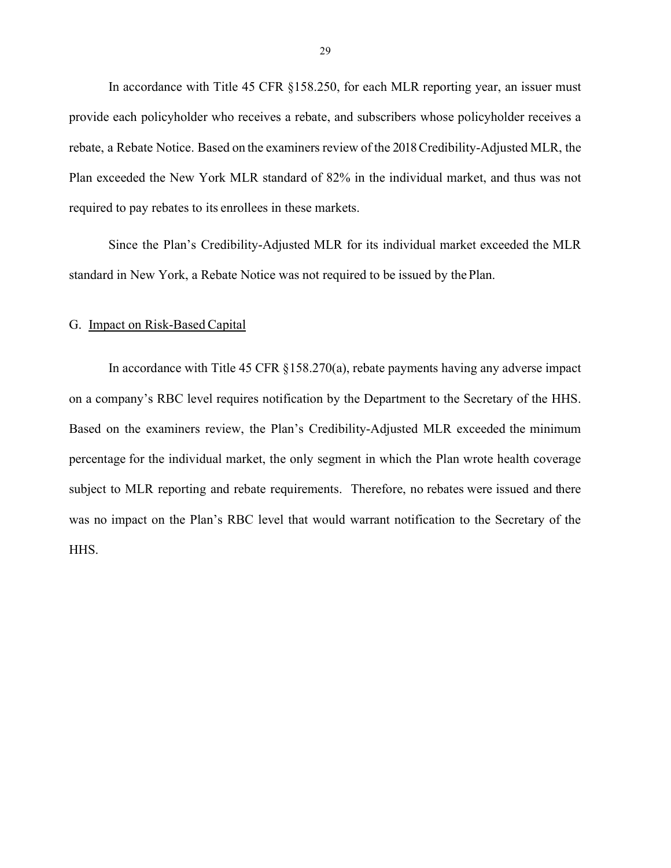In accordance with Title 45 CFR §158.250, for each MLR reporting year, an issuer must provide each policyholder who receives a rebate, and subscribers whose policyholder receives a rebate, a Rebate Notice. Based on the examiners review of the 2018 Credibility-Adjusted MLR, the Plan exceeded the New York MLR standard of 82% in the individual market, and thus was not required to pay rebates to its enrollees in these markets.

Since the Plan's Credibility-Adjusted MLR for its individual market exceeded the MLR standard in New York, a Rebate Notice was not required to be issued by the Plan.

#### G. Impact on Risk-Based Capital

In accordance with Title 45 CFR  $\S 158.270(a)$ , rebate payments having any adverse impact on a company's RBC level requires notification by the Department to the Secretary of the HHS. Based on the examiners review, the Plan's Credibility-Adjusted MLR exceeded the minimum percentage for the individual market, the only segment in which the Plan wrote health coverage subject to MLR reporting and rebate requirements. Therefore, no rebates were issued and there was no impact on the Plan's RBC level that would warrant notification to the Secretary of the HHS.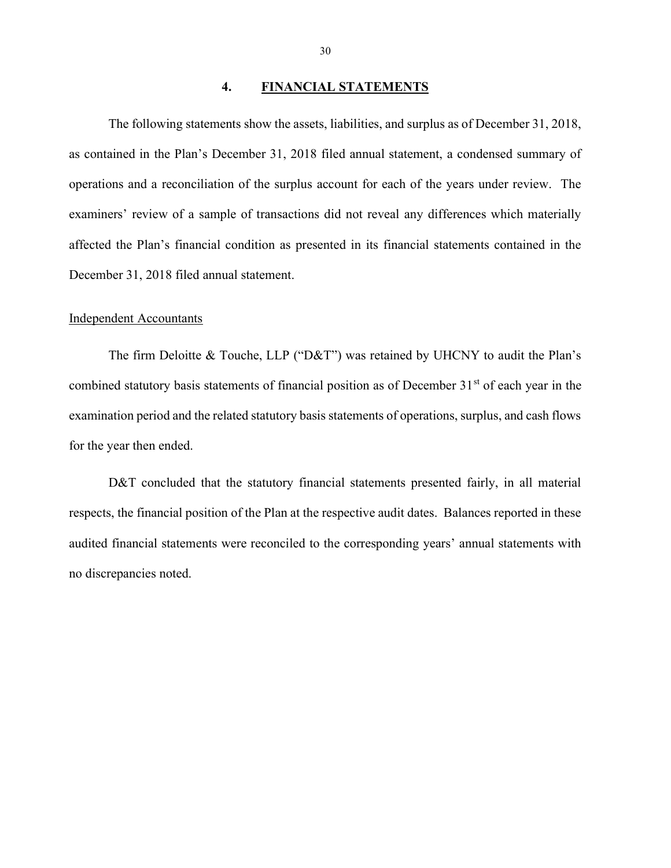#### 4. FINANCIAL STATEMENTS

The following statements show the assets, liabilities, and surplus as of December 31, 2018, as contained in the Plan's December 31, 2018 filed annual statement, a condensed summary of operations and a reconciliation of the surplus account for each of the years under review. The examiners' review of a sample of transactions did not reveal any differences which materially affected the Plan's financial condition as presented in its financial statements contained in the December 31, 2018 filed annual statement.

#### Independent Accountants

The firm Deloitte & Touche, LLP ("D&T") was retained by UHCNY to audit the Plan's combined statutory basis statements of financial position as of December  $31<sup>st</sup>$  of each year in the examination period and the related statutory basis statements of operations, surplus, and cash flows for the year then ended.

D&T concluded that the statutory financial statements presented fairly, in all material respects, the financial position of the Plan at the respective audit dates. Balances reported in these audited financial statements were reconciled to the corresponding years' annual statements with no discrepancies noted.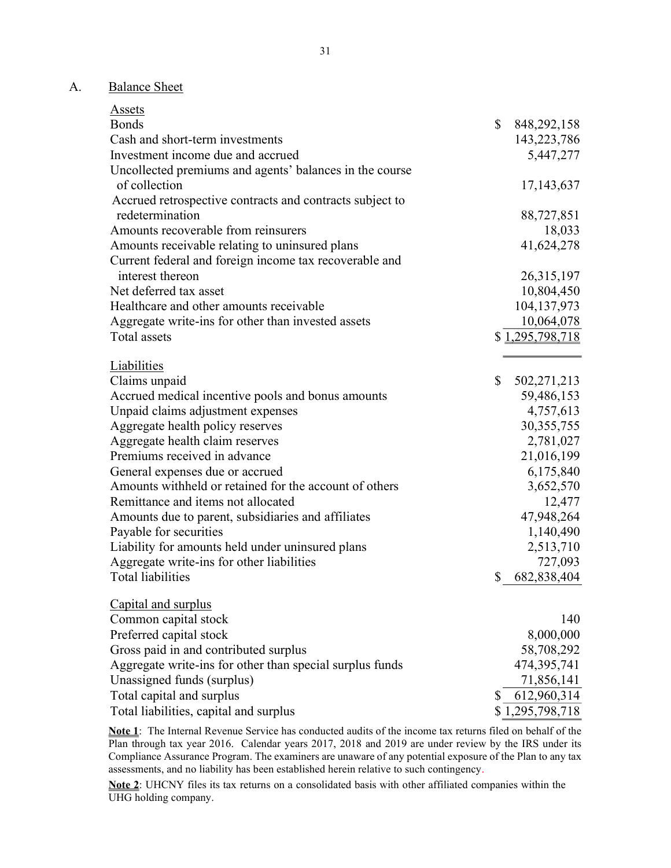## A. Balance Sheet

| Assets                                                   |                     |
|----------------------------------------------------------|---------------------|
| <b>Bonds</b>                                             | \$<br>848, 292, 158 |
| Cash and short-term investments                          | 143,223,786         |
| Investment income due and accrued                        | 5,447,277           |
| Uncollected premiums and agents' balances in the course  |                     |
| of collection                                            | 17, 143, 637        |
| Accrued retrospective contracts and contracts subject to |                     |
| redetermination                                          | 88,727,851          |
| Amounts recoverable from reinsurers                      | 18,033              |
| Amounts receivable relating to uninsured plans           | 41,624,278          |
| Current federal and foreign income tax recoverable and   |                     |
| interest thereon                                         | 26,315,197          |
| Net deferred tax asset                                   | 10,804,450          |
| Healthcare and other amounts receivable                  | 104, 137, 973       |
| Aggregate write-ins for other than invested assets       | 10,064,078          |
| Total assets                                             | \$1,295,798,718     |
|                                                          |                     |
| <b>Liabilities</b>                                       |                     |
| Claims unpaid                                            | \$<br>502, 271, 213 |
| Accrued medical incentive pools and bonus amounts        | 59,486,153          |
| Unpaid claims adjustment expenses                        | 4,757,613           |
| Aggregate health policy reserves                         | 30, 355, 755        |
| Aggregate health claim reserves                          | 2,781,027           |
| Premiums received in advance                             | 21,016,199          |
| General expenses due or accrued                          | 6,175,840           |
| Amounts withheld or retained for the account of others   | 3,652,570           |
| Remittance and items not allocated                       | 12,477              |
| Amounts due to parent, subsidiaries and affiliates       | 47,948,264          |
| Payable for securities                                   | 1,140,490           |
| Liability for amounts held under uninsured plans         | 2,513,710           |
| Aggregate write-ins for other liabilities                | 727,093             |
| <b>Total liabilities</b>                                 | 682,838,404         |
| Capital and surplus                                      |                     |
| Common capital stock                                     | 140                 |
| Preferred capital stock                                  | 8,000,000           |
| Gross paid in and contributed surplus                    | 58,708,292          |
| Aggregate write-ins for other than special surplus funds | 474,395,741         |
| Unassigned funds (surplus)                               | 71,856,141          |
| Total capital and surplus                                | 612,960,314         |
| Total liabilities, capital and surplus                   | \$1,295,798,718     |

Note 1: The Internal Revenue Service has conducted audits of the income tax returns filed on behalf of the Plan through tax year 2016. Calendar years 2017, 2018 and 2019 are under review by the IRS under its Compliance Assurance Program. The examiners are unaware of any potential exposure of the Plan to any tax assessments, and no liability has been established herein relative to such contingency.

Note 2: UHCNY files its tax returns on a consolidated basis with other affiliated companies within the UHG holding company.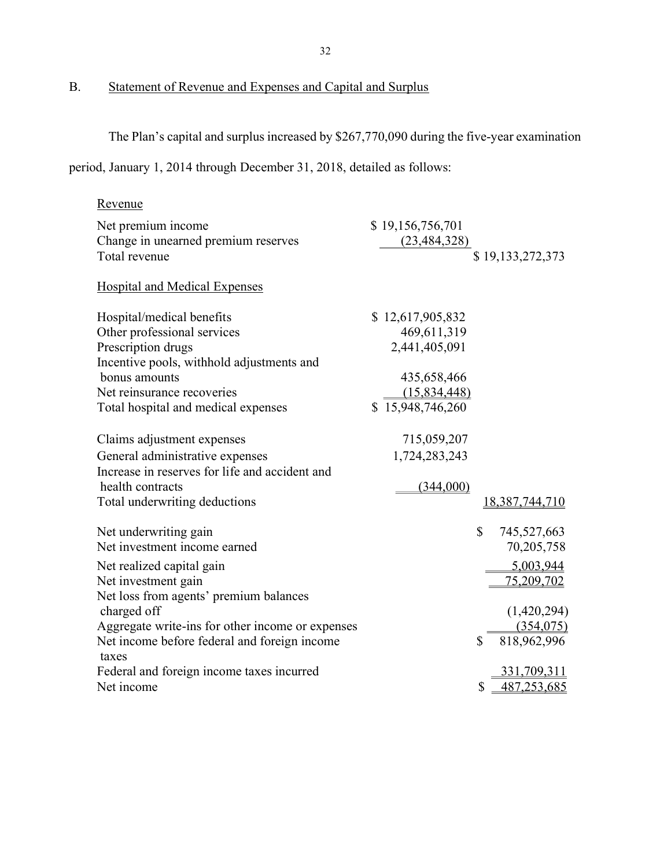## B. Statement of Revenue and Expenses and Capital and Surplus

The Plan's capital and surplus increased by \$267,770,090 during the five-year examination

period, January 1, 2014 through December 31, 2018, detailed as follows:

| Revenue                                          |                  |                              |
|--------------------------------------------------|------------------|------------------------------|
| Net premium income                               | \$19,156,756,701 |                              |
| Change in unearned premium reserves              | (23, 484, 328)   |                              |
| Total revenue                                    |                  | \$19,133,272,373             |
| <b>Hospital and Medical Expenses</b>             |                  |                              |
|                                                  |                  |                              |
| Hospital/medical benefits                        | \$12,617,905,832 |                              |
| Other professional services                      | 469,611,319      |                              |
| Prescription drugs                               | 2,441,405,091    |                              |
| Incentive pools, withhold adjustments and        |                  |                              |
| bonus amounts                                    | 435,658,466      |                              |
| Net reinsurance recoveries                       | (15,834,448)     |                              |
| Total hospital and medical expenses              | \$15,948,746,260 |                              |
|                                                  |                  |                              |
| Claims adjustment expenses                       | 715,059,207      |                              |
| General administrative expenses                  | 1,724,283,243    |                              |
| Increase in reserves for life and accident and   |                  |                              |
| health contracts                                 | (344,000)        |                              |
| Total underwriting deductions                    |                  | 18,387,744,710               |
|                                                  |                  |                              |
| Net underwriting gain                            |                  | \$<br>745,527,663            |
| Net investment income earned                     |                  | 70,205,758                   |
| Net realized capital gain                        |                  | 5,003,944                    |
| Net investment gain                              |                  | 75,209,702                   |
| Net loss from agents' premium balances           |                  |                              |
| charged off                                      |                  | (1,420,294)                  |
| Aggregate write-ins for other income or expenses |                  | (354,075)                    |
| Net income before federal and foreign income     |                  | $\mathbb{S}$<br>818,962,996  |
| taxes                                            |                  |                              |
| Federal and foreign income taxes incurred        |                  | 331,709,311                  |
| Net income                                       |                  | $\mathcal{S}$<br>487,253,685 |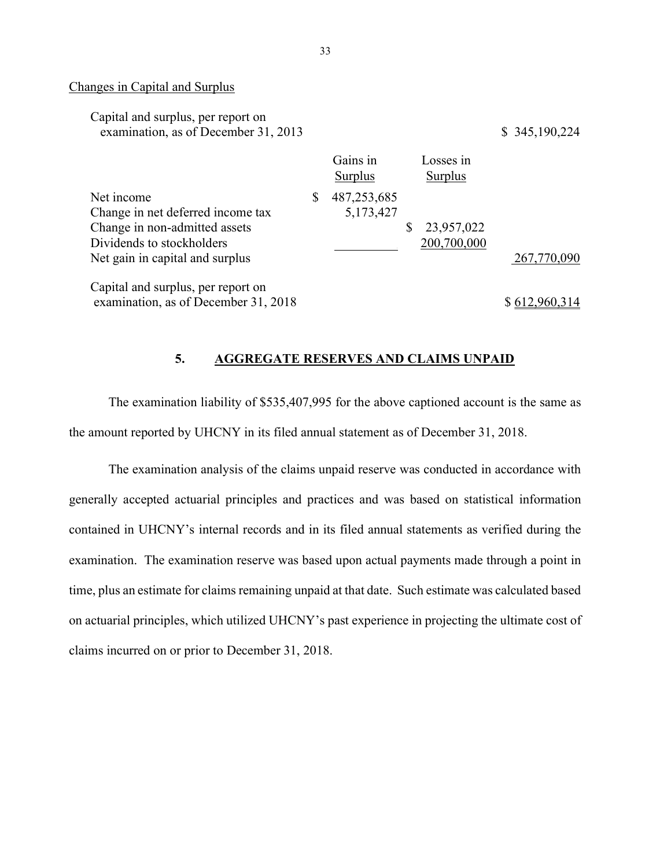#### Changes in Capital and Surplus

| Capital and surplus, per report on<br>examination, as of December 31, 2013                                    |                                  |                             | \$345,190,224 |
|---------------------------------------------------------------------------------------------------------------|----------------------------------|-----------------------------|---------------|
|                                                                                                               | Gains in<br><b>Surplus</b>       | Losses in<br><b>Surplus</b> |               |
| Net income<br>Change in net deferred income tax<br>Change in non-admitted assets<br>Dividends to stockholders | \$<br>487, 253, 685<br>5,173,427 | 23,957,022<br>200,700,000   |               |
| Net gain in capital and surplus                                                                               |                                  |                             | 267,770,090   |
| Capital and surplus, per report on<br>examination, as of December 31, 2018                                    |                                  |                             |               |

#### 5. AGGREGATE RESERVES AND CLAIMS UNPAID

The examination liability of \$535,407,995 for the above captioned account is the same as the amount reported by UHCNY in its filed annual statement as of December 31, 2018.

The examination analysis of the claims unpaid reserve was conducted in accordance with generally accepted actuarial principles and practices and was based on statistical information contained in UHCNY's internal records and in its filed annual statements as verified during the examination. The examination reserve was based upon actual payments made through a point in time, plus an estimate for claims remaining unpaid at that date. Such estimate was calculated based on actuarial principles, which utilized UHCNY's past experience in projecting the ultimate cost of claims incurred on or prior to December 31, 2018.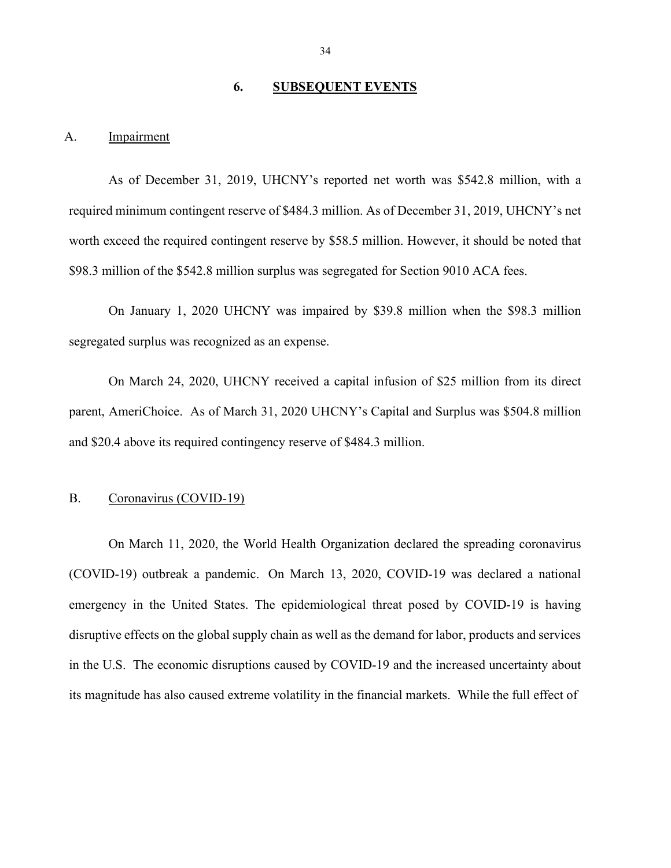#### 6. SUBSEQUENT EVENTS

#### A. Impairment

As of December 31, 2019, UHCNY's reported net worth was \$542.8 million, with a required minimum contingent reserve of \$484.3 million. As of December 31, 2019, UHCNY's net worth exceed the required contingent reserve by \$58.5 million. However, it should be noted that \$98.3 million of the \$542.8 million surplus was segregated for Section 9010 ACA fees.

On January 1, 2020 UHCNY was impaired by \$39.8 million when the \$98.3 million segregated surplus was recognized as an expense.

On March 24, 2020, UHCNY received a capital infusion of \$25 million from its direct parent, AmeriChoice. As of March 31, 2020 UHCNY's Capital and Surplus was \$504.8 million and \$20.4 above its required contingency reserve of \$484.3 million.

#### B. Coronavirus (COVID-19)

On March 11, 2020, the World Health Organization declared the spreading coronavirus (COVID-19) outbreak a pandemic. On March 13, 2020, COVID-19 was declared a national emergency in the United States. The epidemiological threat posed by COVID-19 is having disruptive effects on the global supply chain as well as the demand for labor, products and services in the U.S. The economic disruptions caused by COVID-19 and the increased uncertainty about its magnitude has also caused extreme volatility in the financial markets. While the full effect of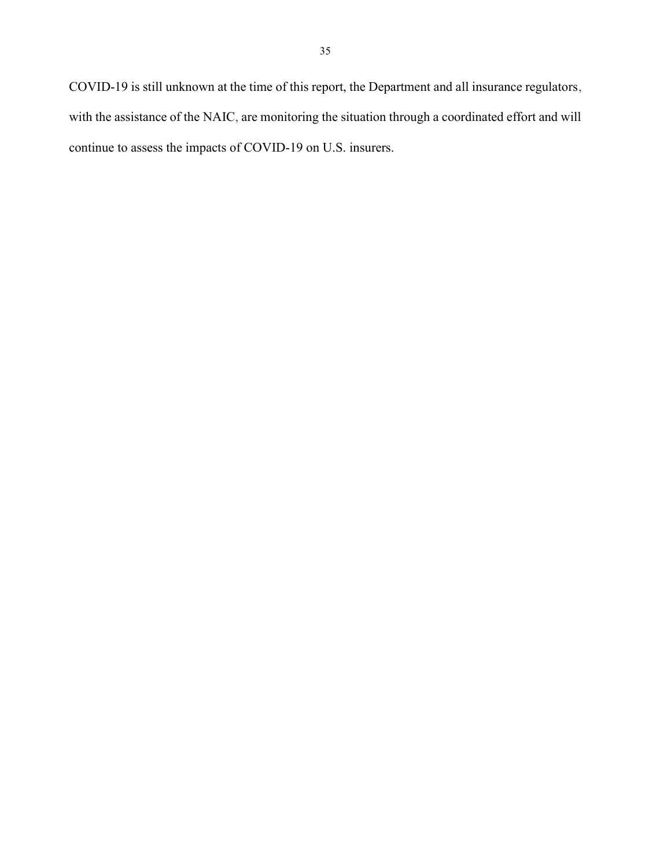COVID-19 is still unknown at the time of this report, the Department and all insurance regulators, with the assistance of the NAIC, are monitoring the situation through a coordinated effort and will continue to assess the impacts of COVID-19 on U.S. insurers.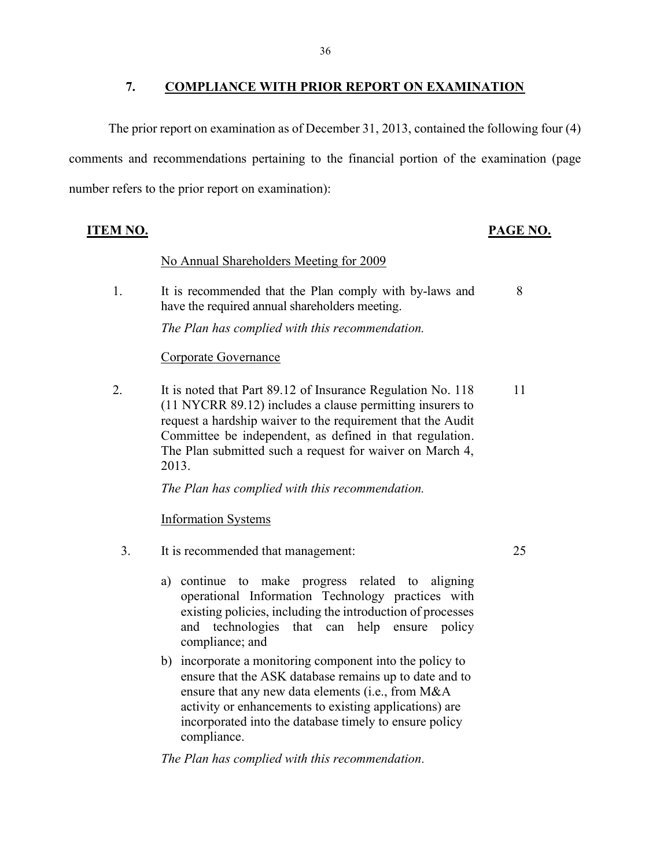#### 7. COMPLIANCE WITH PRIOR REPORT ON EXAMINATION

The prior report on examination as of December 31, 2013, contained the following four (4) comments and recommendations pertaining to the financial portion of the examination (page number refers to the prior report on examination):

#### ITEM NO. PAGE NO.

8

25

#### No Annual Shareholders Meeting for 2009

1. It is recommended that the Plan comply with by-laws and have the required annual shareholders meeting.

The Plan has complied with this recommendation.

#### Corporate Governance

2. It is noted that Part 89.12 of Insurance Regulation No. 118 (11 NYCRR 89.12) includes a clause permitting insurers to request a hardship waiver to the requirement that the Audit Committee be independent, as defined in that regulation. The Plan submitted such a request for waiver on March 4, 2013. 11

The Plan has complied with this recommendation.

Information Systems

- 3. It is recommended that management:
	- a) continue to make progress related to aligning operational Information Technology practices with existing policies, including the introduction of processes and technologies that can help ensure policy compliance; and
	- b) incorporate a monitoring component into the policy to ensure that the ASK database remains up to date and to ensure that any new data elements (i.e., from M&A activity or enhancements to existing applications) are incorporated into the database timely to ensure policy compliance.

The Plan has complied with this recommendation.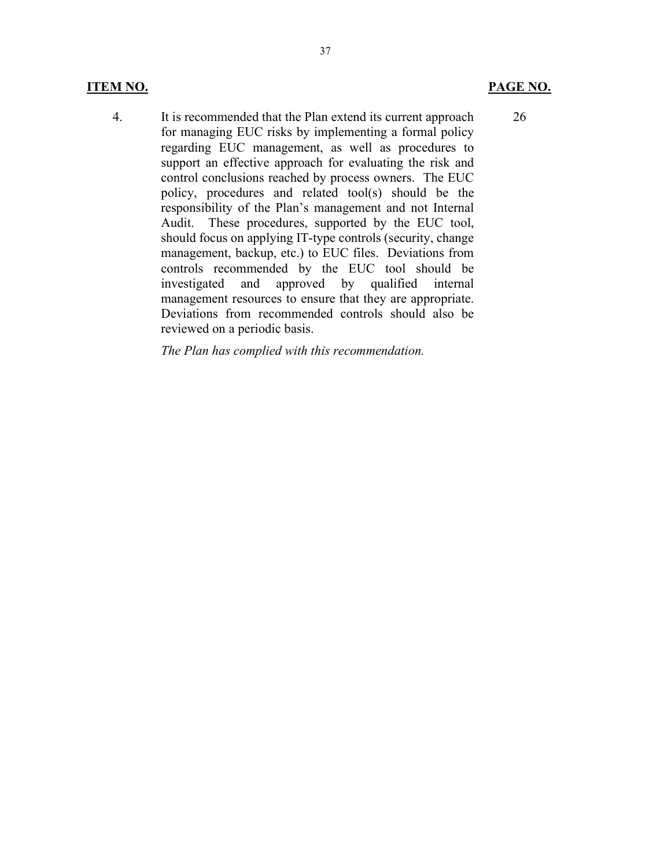#### ITEM NO. PAGE NO.

4. It is recommended that the Plan extend its current approach for managing EUC risks by implementing a formal policy regarding EUC management, as well as procedures to support an effective approach for evaluating the risk and control conclusions reached by process owners. The EUC policy, procedures and related tool(s) should be the responsibility of the Plan's management and not Internal Audit. These procedures, supported by the EUC tool, should focus on applying IT-type controls (security, change management, backup, etc.) to EUC files. Deviations from controls recommended by the EUC tool should be investigated and approved by qualified internal management resources to ensure that they are appropriate. Deviations from recommended controls should also be reviewed on a periodic basis.

The Plan has complied with this recommendation.

26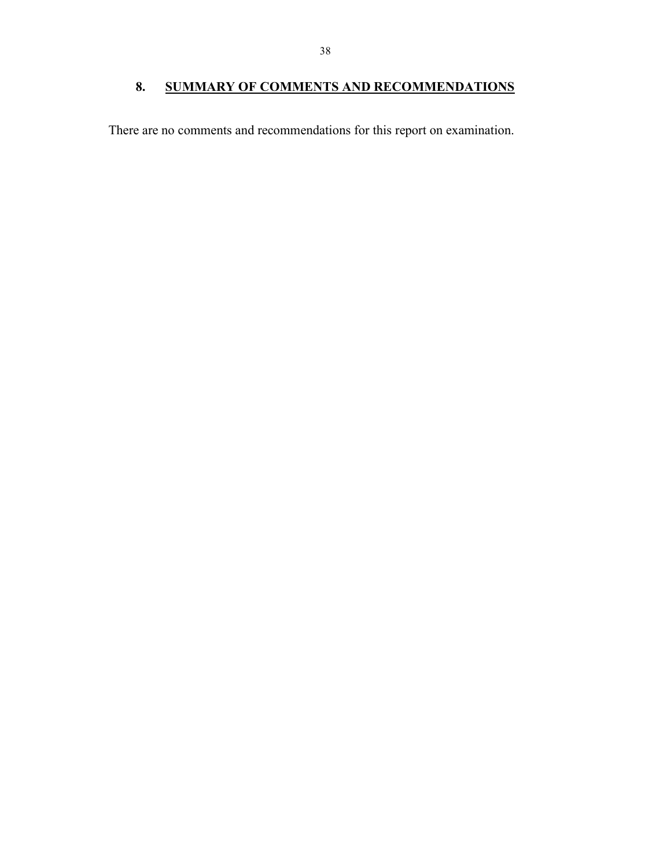## 8. SUMMARY OF COMMENTS AND RECOMMENDATIONS

There are no comments and recommendations for this report on examination.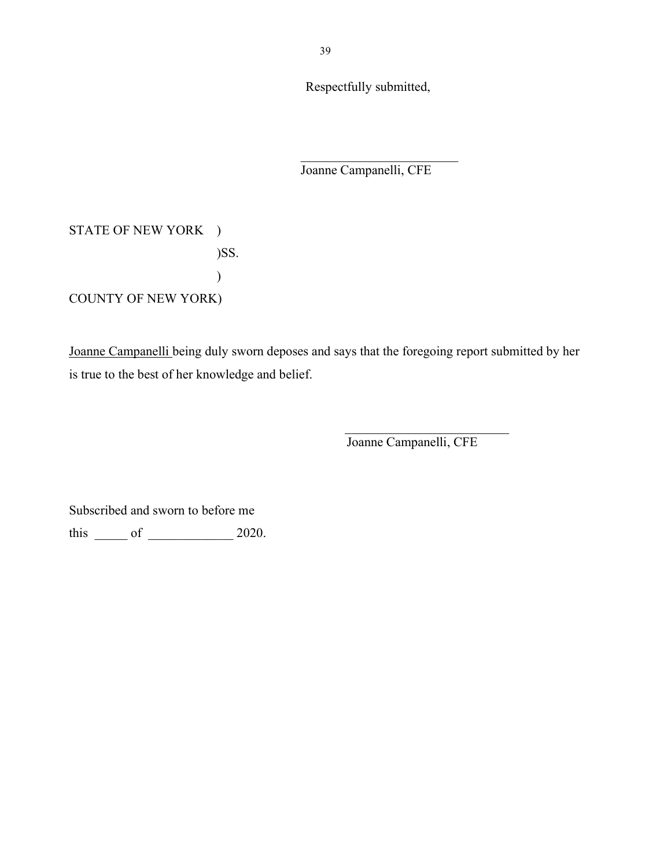Respectfully submitted,

Joanne Campanelli, CFE

STATE OF NEW YORK ) )SS.  $\overline{\phantom{a}}$ COUNTY OF NEW YORK)

Joanne Campanelli being duly sworn deposes and says that the foregoing report submitted by her is true to the best of her knowledge and belief.

Joanne Campanelli, CFE

Subscribed and sworn to before me

this \_\_\_\_\_ of \_\_\_\_\_\_\_\_\_\_\_\_\_ 2020.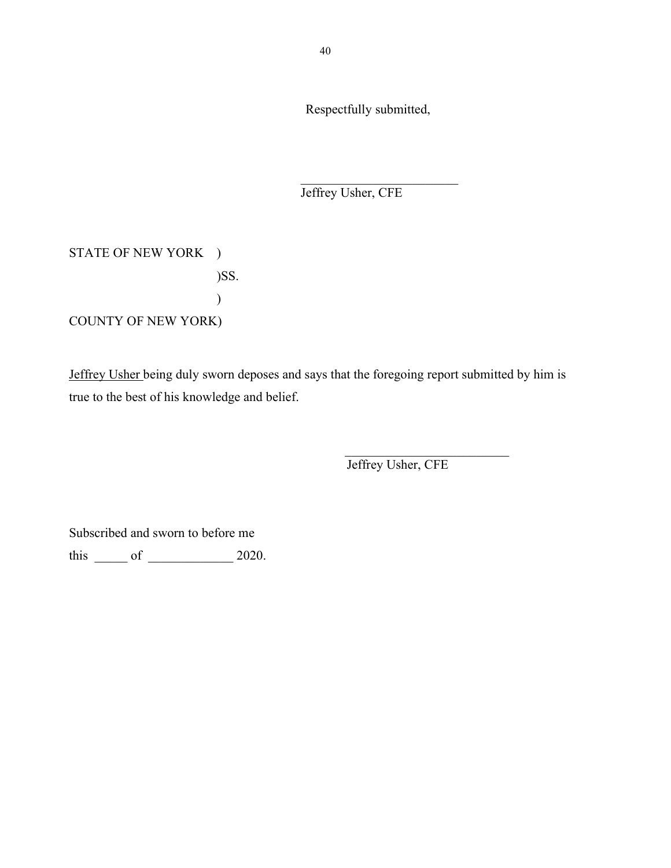Respectfully submitted,

Jeffrey Usher, CFE

STATE OF NEW YORK ) )SS.  $)$ COUNTY OF NEW YORK)

Jeffrey Usher being duly sworn deposes and says that the foregoing report submitted by him is true to the best of his knowledge and belief.

 $\mathcal{L}_\text{max}$  and  $\mathcal{L}_\text{max}$  and  $\mathcal{L}_\text{max}$  and  $\mathcal{L}_\text{max}$  and  $\mathcal{L}_\text{max}$  and  $\mathcal{L}_\text{max}$ 

Jeffrey Usher, CFE

Subscribed and sworn to before me

this  $\rule{1em}{0.15mm}$  of  $\rule{1em}{0.15mm}$  2020.